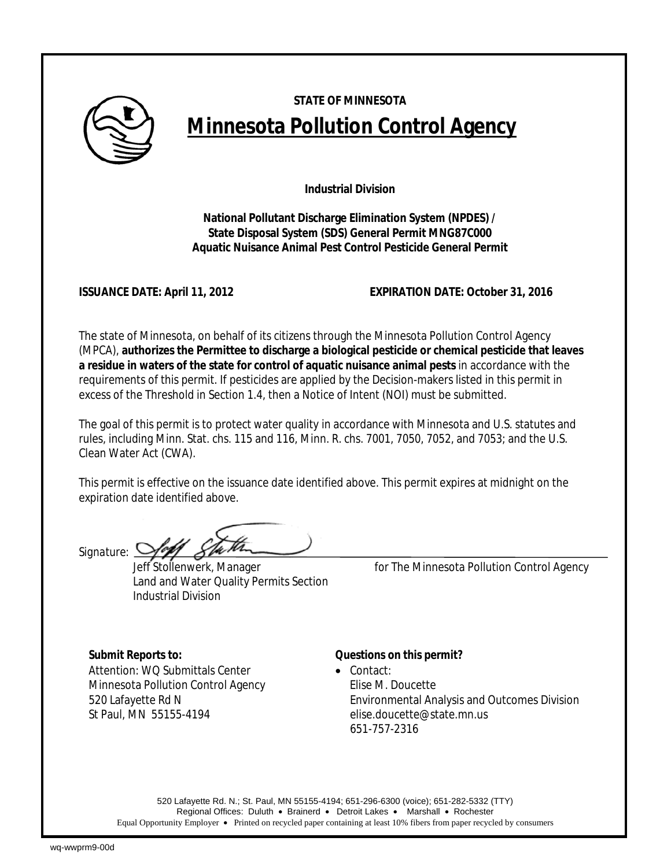

# **STATE OF MINNESOTA Minnesota Pollution Control Agency**

**Industrial Division** 

**National Pollutant Discharge Elimination System (NPDES) / State Disposal System (SDS) General Permit MNG87C000 Aquatic Nuisance Animal Pest Control Pesticide General Permit** 

**ISSUANCE DATE: April 11, 2012 EXPIRATION DATE: October 31, 2016**

The state of Minnesota, on behalf of its citizens through the Minnesota Pollution Control Agency (MPCA), **authorizes the Permittee to discharge a biological pesticide or chemical pesticide that leaves a residue in waters of the state for control of aquatic nuisance animal pests** in accordance with the requirements of this permit. If pesticides are applied by the Decision-makers listed in this permit in excess of the Threshold in Section 1.4, then a Notice of Intent (NOI) must be submitted.

The goal of this permit is to protect water quality in accordance with Minnesota and U.S. statutes and rules, including Minn. Stat. chs. 115 and 116, Minn. R. chs. 7001, 7050, 7052, and 7053; and the U.S. Clean Water Act (CWA).

This permit is effective on the issuance date identified above. This permit expires at midnight on the expiration date identified above.

*Signature:*

Land and Water Quality Permits Section Industrial Division

Jeff Stollenwerk, Manager *for* The Minnesota Pollution Control Agency

Attention: WO Submittals Center • Contact: Minnesota Pollution Control Agency Filise M. Doucette

# *Submit Reports to: Questions on this permit?*

520 Lafayette Rd N Environmental Analysis and Outcomes Division St Paul, MN 55155-4194 elise.doucette@state.mn.us 651-757-2316

520 Lafayette Rd. N.; St. Paul, MN 55155-4194; 651-296-6300 (voice); 651-282-5332 (TTY) Regional Offices: Duluth • Brainerd • Detroit Lakes • Marshall • Rochester Equal Opportunity Employer • Printed on recycled paper containing at least 10% fibers from paper recycled by consumers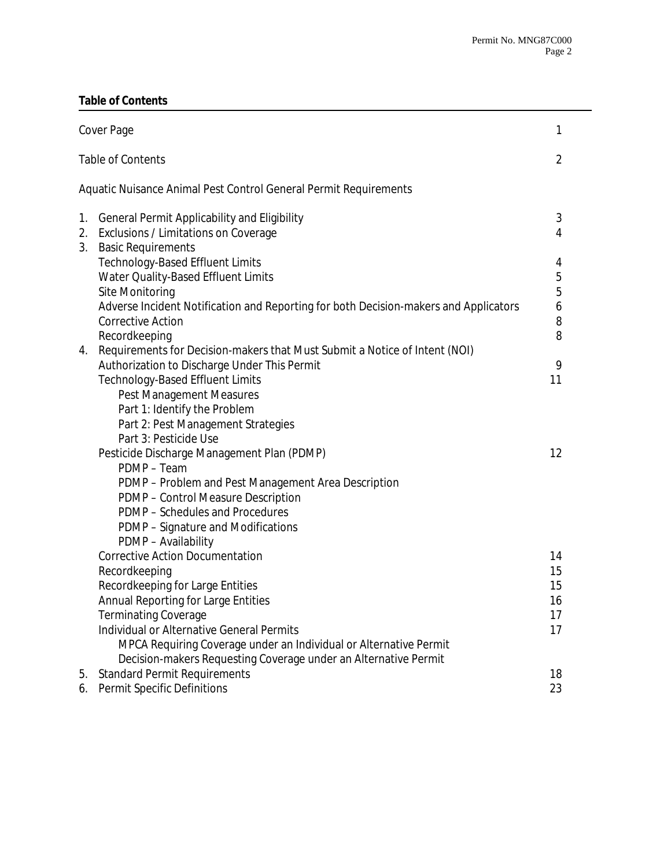## **Table of Contents**

| Cover Page               |                                                                                                                                                                                                                                                                                                                                                 |                                  |
|--------------------------|-------------------------------------------------------------------------------------------------------------------------------------------------------------------------------------------------------------------------------------------------------------------------------------------------------------------------------------------------|----------------------------------|
| <b>Table of Contents</b> |                                                                                                                                                                                                                                                                                                                                                 |                                  |
|                          | Aquatic Nuisance Animal Pest Control General Permit Requirements                                                                                                                                                                                                                                                                                |                                  |
| 1.<br>2.                 | <b>General Permit Applicability and Eligibility</b><br>Exclusions / Limitations on Coverage                                                                                                                                                                                                                                                     | 3<br>$\overline{4}$              |
| 3.                       | <b>Basic Requirements</b><br><b>Technology-Based Effluent Limits</b><br>Water Quality-Based Effluent Limits<br>Site Monitoring<br>Adverse Incident Notification and Reporting for both Decision-makers and Applicators<br><b>Corrective Action</b><br>Recordkeeping                                                                             | 4<br>5<br>5<br>6<br>8<br>8       |
| 4.                       | Requirements for Decision-makers that Must Submit a Notice of Intent (NOI)<br>Authorization to Discharge Under This Permit<br><b>Technology-Based Effluent Limits</b><br>Pest Management Measures<br>Part 1: Identify the Problem<br>Part 2: Pest Management Strategies<br>Part 3: Pesticide Use                                                | 9<br>11                          |
|                          | Pesticide Discharge Management Plan (PDMP)<br>PDMP - Team<br>PDMP - Problem and Pest Management Area Description<br>PDMP - Control Measure Description<br>PDMP - Schedules and Procedures<br>PDMP - Signature and Modifications<br>PDMP - Availability                                                                                          | 12                               |
|                          | <b>Corrective Action Documentation</b><br>Recordkeeping<br>Recordkeeping for Large Entities<br>Annual Reporting for Large Entities<br>Terminating Coverage<br>Individual or Alternative General Permits<br>MPCA Requiring Coverage under an Individual or Alternative Permit<br>Decision-makers Requesting Coverage under an Alternative Permit | 14<br>15<br>15<br>16<br>17<br>17 |
| 5.<br>6.                 | <b>Standard Permit Requirements</b><br>Permit Specific Definitions                                                                                                                                                                                                                                                                              | 18<br>23                         |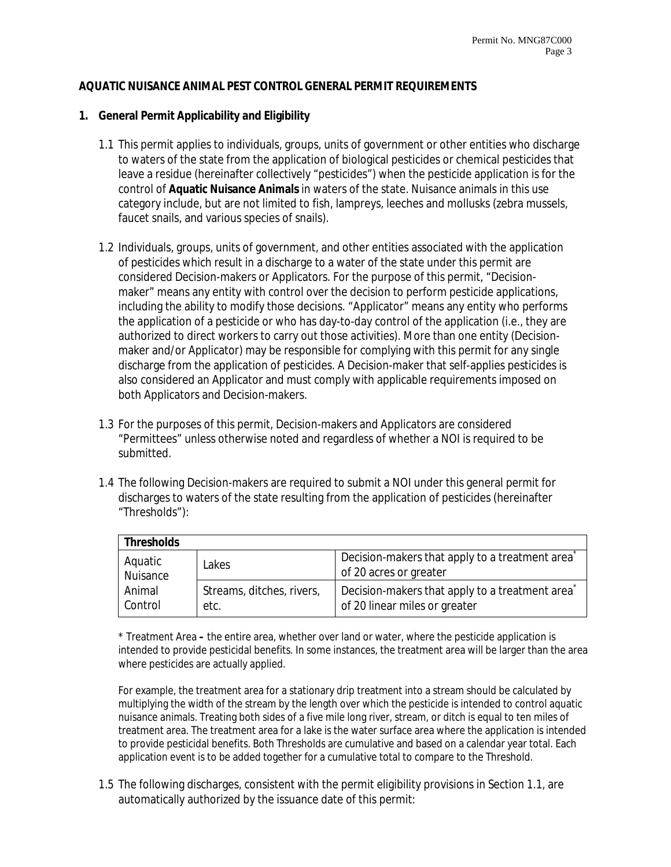#### **AQUATIC NUISANCE ANIMAL PEST CONTROL GENERAL PERMIT REQUIREMENTS**

#### **1. General Permit Applicability and Eligibility**

- 1.1 This permit applies to individuals, groups, units of government or other entities who discharge to waters of the state from the application of biological pesticides or chemical pesticides that leave a residue (hereinafter collectively "pesticides") when the pesticide application is for the control of **Aquatic Nuisance Animals** in waters of the state. Nuisance animals in this use category include, but are not limited to fish, lampreys, leeches and mollusks (zebra mussels, faucet snails, and various species of snails).
- 1.2 Individuals, groups, units of government, and other entities associated with the application of pesticides which result in a discharge to a water of the state under this permit are considered Decision-makers or Applicators. For the purpose of this permit, "Decisionmaker" means any entity with control over the decision to perform pesticide applications, including the ability to modify those decisions. "Applicator" means any entity who performs the application of a pesticide or who has day-to-day control of the application (i.e., they are authorized to direct workers to carry out those activities). More than one entity (Decisionmaker and/or Applicator) may be responsible for complying with this permit for any single discharge from the application of pesticides. A Decision-maker that self-applies pesticides is also considered an Applicator and must comply with applicable requirements imposed on both Applicators and Decision-makers.
- 1.3 For the purposes of this permit, Decision-makers and Applicators are considered "Permittees" unless otherwise noted and regardless of whether a NOI is required to be submitted.
- 1.4 The following Decision-makers are required to submit a NOI under this general permit for discharges to waters of the state resulting from the application of pesticides (hereinafter "Thresholds"):

| <b>Thresholds</b>   |                                   |                                                                                       |  |  |  |  |
|---------------------|-----------------------------------|---------------------------------------------------------------------------------------|--|--|--|--|
| Aquatic<br>Nuisance | Lakes                             | Decision-makers that apply to a treatment area <sup>2</sup><br>of 20 acres or greater |  |  |  |  |
| Animal<br>Control   | Streams, ditches, rivers,<br>etc. | Decision-makers that apply to a treatment area<br>of 20 linear miles or greater       |  |  |  |  |

\* Treatment Area **–** the entire area, whether over land or water, where the pesticide application is intended to provide pesticidal benefits. In some instances, the treatment area will be larger than the area where pesticides are actually applied.

For example, the treatment area for a stationary drip treatment into a stream should be calculated by multiplying the width of the stream by the length over which the pesticide is intended to control aquatic nuisance animals. Treating both sides of a five mile long river, stream, or ditch is equal to ten miles of treatment area. The treatment area for a lake is the water surface area where the application is intended to provide pesticidal benefits. Both Thresholds are cumulative and based on a calendar year total. Each application event is to be added together for a cumulative total to compare to the Threshold.

1.5 The following discharges, consistent with the permit eligibility provisions in Section 1.1, are automatically authorized by the issuance date of this permit: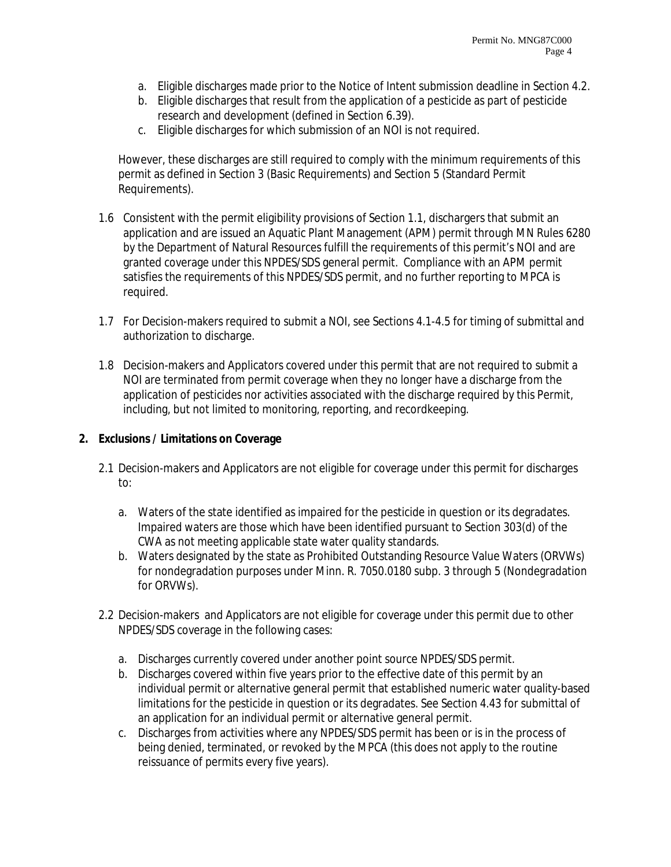- a. Eligible discharges made prior to the Notice of Intent submission deadline in Section 4.2.
- b. Eligible discharges that result from the application of a pesticide as part of pesticide research and development (defined in Section 6.39).
- c. Eligible discharges for which submission of an NOI is not required.

However, these discharges are still required to comply with the minimum requirements of this permit as defined in Section 3 (Basic Requirements) and Section 5 (Standard Permit Requirements).

- 1.6 Consistent with the permit eligibility provisions of Section 1.1, dischargers that submit an application and are issued an Aquatic Plant Management (APM) permit through MN Rules 6280 by the Department of Natural Resources fulfill the requirements of this permit's NOI and are granted coverage under this NPDES/SDS general permit. Compliance with an APM permit satisfies the requirements of this NPDES/SDS permit, and no further reporting to MPCA is required.
- 1.7 For Decision-makers required to submit a NOI, see Sections 4.1-4.5 for timing of submittal and authorization to discharge.
- 1.8 Decision-makers and Applicators covered under this permit that are not required to submit a NOI are terminated from permit coverage when they no longer have a discharge from the application of pesticides nor activities associated with the discharge required by this Permit, including, but not limited to monitoring, reporting, and recordkeeping.

#### **2. Exclusions / Limitations on Coverage**

- 2.1 Decision-makers and Applicators are not eligible for coverage under this permit for discharges to:
	- a. Waters of the state identified as impaired for the pesticide in question or its degradates. Impaired waters are those which have been identified pursuant to Section 303(d) of the CWA as not meeting applicable state water quality standards.
	- b. Waters designated by the state as Prohibited Outstanding Resource Value Waters (ORVWs) for nondegradation purposes under Minn. R. 7050.0180 subp. 3 through 5 (Nondegradation for ORVWs).
- 2.2 Decision-makers and Applicators are not eligible for coverage under this permit due to other NPDES/SDS coverage in the following cases:
	- a. Discharges currently covered under another point source NPDES/SDS permit.
	- b. Discharges covered within five years prior to the effective date of this permit by an individual permit or alternative general permit that established numeric water quality-based limitations for the pesticide in question or its degradates. See Section 4.43 for submittal of an application for an individual permit or alternative general permit.
	- c. Discharges from activities where any NPDES/SDS permit has been or is in the process of being denied, terminated, or revoked by the MPCA (this does not apply to the routine reissuance of permits every five years).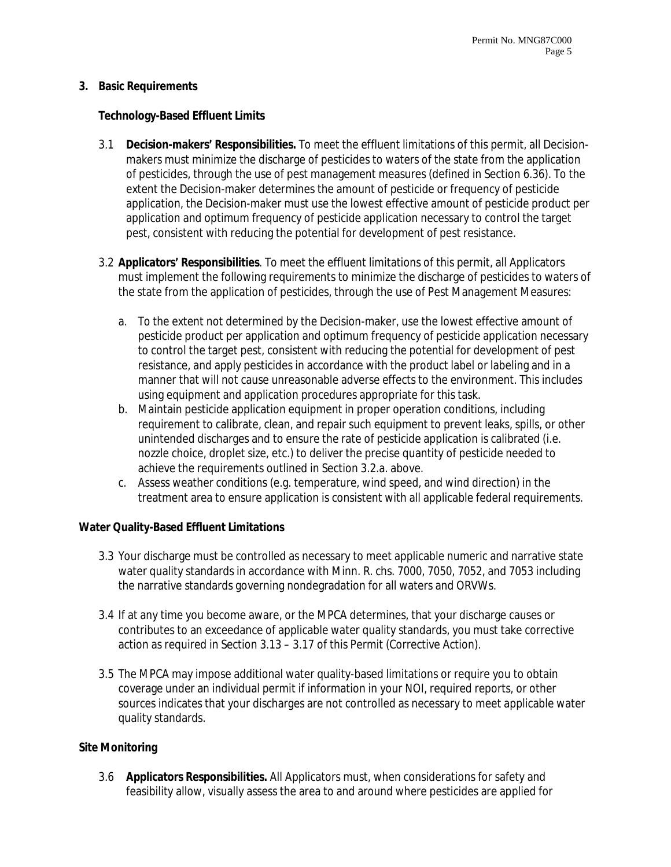#### **3. Basic Requirements**

#### **Technology-Based Effluent Limits**

- 3.1 **Decision-makers' Responsibilities.** To meet the effluent limitations of this permit, all Decisionmakers must minimize the discharge of pesticides to waters of the state from the application of pesticides, through the use of pest management measures (defined in Section 6.36). To the extent the Decision-maker determines the amount of pesticide or frequency of pesticide application, the Decision-maker must use the lowest effective amount of pesticide product per application and optimum frequency of pesticide application necessary to control the target pest, consistent with reducing the potential for development of pest resistance.
- 3.2 **Applicators' Responsibilities**. To meet the effluent limitations of this permit, all Applicators must implement the following requirements to minimize the discharge of pesticides to waters of the state from the application of pesticides, through the use of Pest Management Measures:
	- a. To the extent not determined by the Decision-maker, use the lowest effective amount of pesticide product per application and optimum frequency of pesticide application necessary to control the target pest, consistent with reducing the potential for development of pest resistance, and apply pesticides in accordance with the product label or labeling and in a manner that will not cause unreasonable adverse effects to the environment. This includes using equipment and application procedures appropriate for this task.
	- b. Maintain pesticide application equipment in proper operation conditions, including requirement to calibrate, clean, and repair such equipment to prevent leaks, spills, or other unintended discharges and to ensure the rate of pesticide application is calibrated (i.e. nozzle choice, droplet size, etc.) to deliver the precise quantity of pesticide needed to achieve the requirements outlined in Section 3.2.a. above.
	- c. Assess weather conditions (e.g. temperature, wind speed, and wind direction) in the treatment area to ensure application is consistent with all applicable federal requirements.

#### **Water Quality-Based Effluent Limitations**

- 3.3 Your discharge must be controlled as necessary to meet applicable numeric and narrative state water quality standards in accordance with Minn. R. chs. 7000, 7050, 7052, and 7053 including the narrative standards governing nondegradation for all waters and ORVWs.
- 3.4 If at any time you become aware, or the MPCA determines, that your discharge causes or contributes to an exceedance of applicable water quality standards, you must take corrective action as required in Section 3.13 – 3.17 of this Permit (Corrective Action).
- 3.5 The MPCA may impose additional water quality-based limitations or require you to obtain coverage under an individual permit if information in your NOI, required reports, or other sources indicates that your discharges are not controlled as necessary to meet applicable water quality standards.

#### **Site Monitoring**

3.6 **Applicators Responsibilities.** All Applicators must, when considerations for safety and feasibility allow, visually assess the area to and around where pesticides are applied for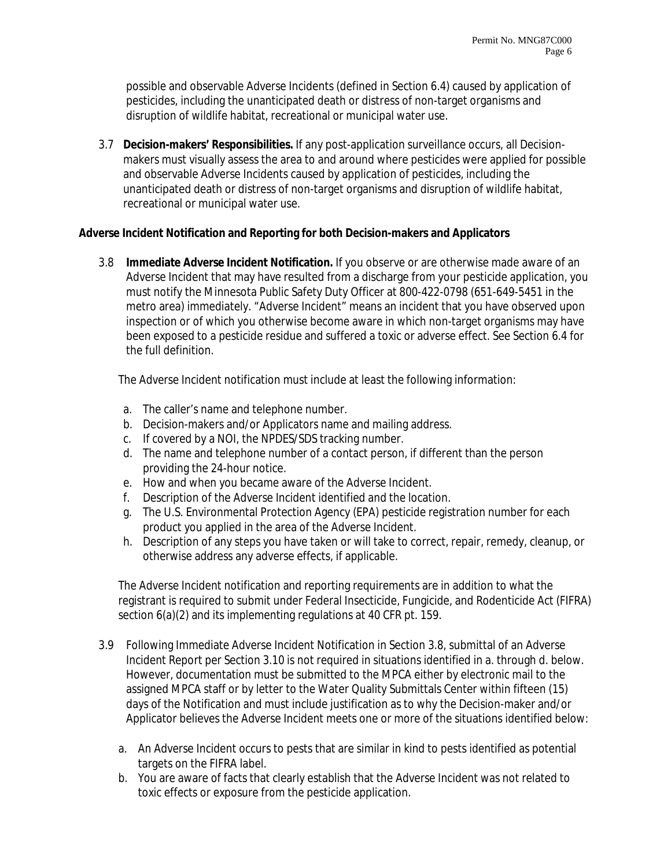possible and observable Adverse Incidents (defined in Section 6.4) caused by application of pesticides, including the unanticipated death or distress of non-target organisms and disruption of wildlife habitat, recreational or municipal water use.

3.7 **Decision-makers' Responsibilities.** If any post-application surveillance occurs, all Decisionmakers must visually assess the area to and around where pesticides were applied for possible and observable Adverse Incidents caused by application of pesticides, including the unanticipated death or distress of non-target organisms and disruption of wildlife habitat, recreational or municipal water use.

#### **Adverse Incident Notification and Reporting for both Decision-makers and Applicators**

3.8 **Immediate Adverse Incident Notification.** If you observe or are otherwise made aware of an Adverse Incident that may have resulted from a discharge from your pesticide application, you must notify the Minnesota Public Safety Duty Officer at 800-422-0798 (651-649-5451 in the metro area) immediately. "Adverse Incident" means an incident that you have observed upon inspection or of which you otherwise become aware in which non-target organisms may have been exposed to a pesticide residue and suffered a toxic or adverse effect. See Section 6.4 for the full definition.

The Adverse Incident notification must include at least the following information:

- a. The caller's name and telephone number.
- b. Decision-makers and/or Applicators name and mailing address.
- c. If covered by a NOI, the NPDES/SDS tracking number.
- d. The name and telephone number of a contact person, if different than the person providing the 24-hour notice.
- e. How and when you became aware of the Adverse Incident.
- f. Description of the Adverse Incident identified and the location.
- g. The U.S. Environmental Protection Agency (EPA) pesticide registration number for each product you applied in the area of the Adverse Incident.
- h. Description of any steps you have taken or will take to correct, repair, remedy, cleanup, or otherwise address any adverse effects, if applicable.

The Adverse Incident notification and reporting requirements are in addition to what the registrant is required to submit under Federal Insecticide, Fungicide, and Rodenticide Act (FIFRA) section 6(a)(2) and its implementing regulations at 40 CFR pt. 159.

- 3.9 Following Immediate Adverse Incident Notification in Section 3.8, submittal of an Adverse Incident Report per Section 3.10 is not required in situations identified in a. through d. below. However, documentation must be submitted to the MPCA either by electronic mail to the assigned MPCA staff or by letter to the Water Quality Submittals Center within fifteen (15) days of the Notification and must include justification as to why the Decision-maker and/or Applicator believes the Adverse Incident meets one or more of the situations identified below:
	- a. An Adverse Incident occurs to pests that are similar in kind to pests identified as potential targets on the FIFRA label.
	- b. You are aware of facts that clearly establish that the Adverse Incident was not related to toxic effects or exposure from the pesticide application.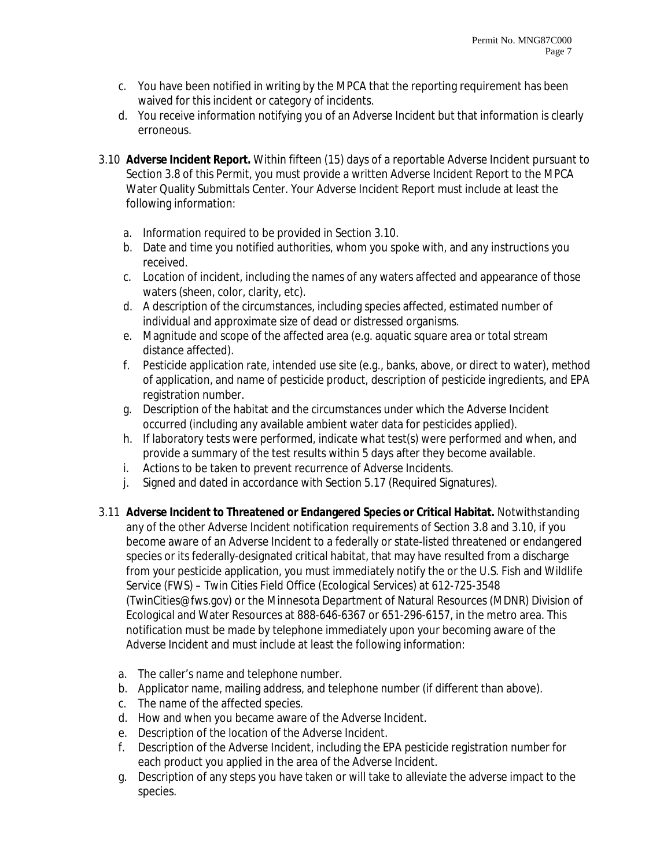- c. You have been notified in writing by the MPCA that the reporting requirement has been waived for this incident or category of incidents.
- d. You receive information notifying you of an Adverse Incident but that information is clearly erroneous.
- 3.10 **Adverse Incident Report.** Within fifteen (15) days of a reportable Adverse Incident pursuant to Section 3.8 of this Permit, you must provide a written Adverse Incident Report to the MPCA Water Quality Submittals Center. Your Adverse Incident Report must include at least the following information:
	- a. Information required to be provided in Section 3.10.
	- b. Date and time you notified authorities, whom you spoke with, and any instructions you received.
	- c. Location of incident, including the names of any waters affected and appearance of those waters (sheen, color, clarity, etc).
	- d. A description of the circumstances, including species affected, estimated number of individual and approximate size of dead or distressed organisms.
	- e. Magnitude and scope of the affected area (e.g. aquatic square area or total stream distance affected).
	- f. Pesticide application rate, intended use site (e.g., banks, above, or direct to water), method of application, and name of pesticide product, description of pesticide ingredients, and EPA registration number.
	- g. Description of the habitat and the circumstances under which the Adverse Incident occurred (including any available ambient water data for pesticides applied).
	- h. If laboratory tests were performed, indicate what test(s) were performed and when, and provide a summary of the test results within 5 days after they become available.
	- i. Actions to be taken to prevent recurrence of Adverse Incidents.
	- j. Signed and dated in accordance with Section 5.17 (Required Signatures).
- 3.11 **Adverse Incident to Threatened or Endangered Species or Critical Habitat.** Notwithstanding any of the other Adverse Incident notification requirements of Section 3.8 and 3.10, if you become aware of an Adverse Incident to a federally or state-listed threatened or endangered species or its federally-designated critical habitat, that may have resulted from a discharge from your pesticide application, you must immediately notify the or the U.S. Fish and Wildlife Service (FWS) – Twin Cities Field Office (Ecological Services) at 612-725-3548 (TwinCities@fws.gov) or the Minnesota Department of Natural Resources (MDNR) Division of Ecological and Water Resources at 888-646-6367 or 651-296-6157, in the metro area. This notification must be made by telephone immediately upon your becoming aware of the Adverse Incident and must include at least the following information:
	- a. The caller's name and telephone number.
	- b. Applicator name, mailing address, and telephone number (if different than above).
	- c. The name of the affected species.
	- d. How and when you became aware of the Adverse Incident.
	- e. Description of the location of the Adverse Incident.
	- f. Description of the Adverse Incident, including the EPA pesticide registration number for each product you applied in the area of the Adverse Incident.
	- g. Description of any steps you have taken or will take to alleviate the adverse impact to the species.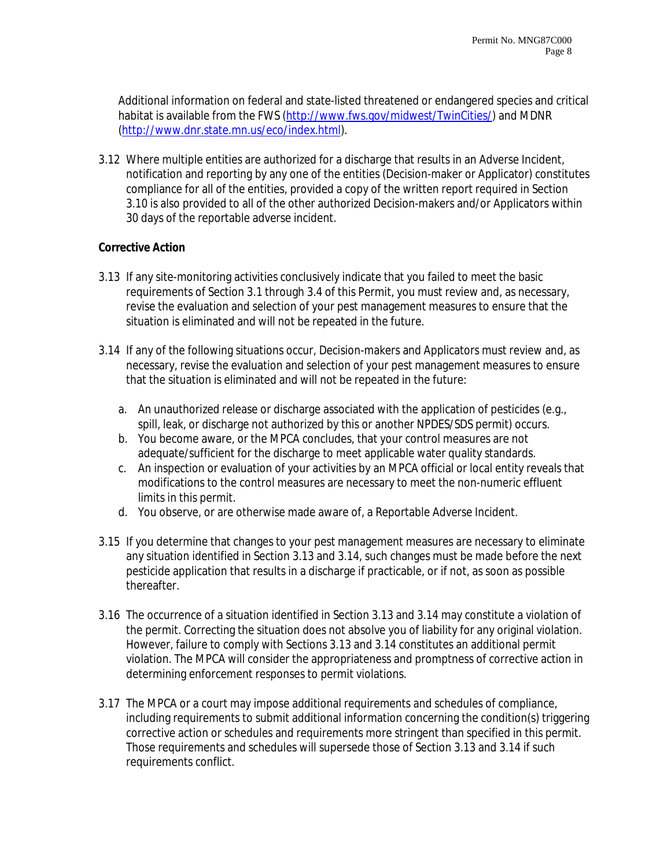Additional information on federal and state-listed threatened or endangered species and critical habitat is available from the FWS (http://www.fws.gov/midwest/TwinCities/) and MDNR (http://www.dnr.state.mn.us/eco/index.html).

3.12 Where multiple entities are authorized for a discharge that results in an Adverse Incident, notification and reporting by any one of the entities (Decision-maker or Applicator) constitutes compliance for all of the entities, provided a copy of the written report required in Section 3.10 is also provided to all of the other authorized Decision-makers and/or Applicators within 30 days of the reportable adverse incident.

## **Corrective Action**

- 3.13 If any site-monitoring activities conclusively indicate that you failed to meet the basic requirements of Section 3.1 through 3.4 of this Permit, you must review and, as necessary, revise the evaluation and selection of your pest management measures to ensure that the situation is eliminated and will not be repeated in the future.
- 3.14 If any of the following situations occur, Decision-makers and Applicators must review and, as necessary, revise the evaluation and selection of your pest management measures to ensure that the situation is eliminated and will not be repeated in the future:
	- a. An unauthorized release or discharge associated with the application of pesticides (e.g., spill, leak, or discharge not authorized by this or another NPDES/SDS permit) occurs.
	- b. You become aware, or the MPCA concludes, that your control measures are not adequate/sufficient for the discharge to meet applicable water quality standards.
	- c. An inspection or evaluation of your activities by an MPCA official or local entity reveals that modifications to the control measures are necessary to meet the non-numeric effluent limits in this permit.
	- d. You observe, or are otherwise made aware of, a Reportable Adverse Incident.
- 3.15 If you determine that changes to your pest management measures are necessary to eliminate any situation identified in Section 3.13 and 3.14, such changes must be made before the next pesticide application that results in a discharge if practicable, or if not, as soon as possible thereafter.
- 3.16 The occurrence of a situation identified in Section 3.13 and 3.14 may constitute a violation of the permit. Correcting the situation does not absolve you of liability for any original violation. However, failure to comply with Sections 3.13 and 3.14 constitutes an additional permit violation. The MPCA will consider the appropriateness and promptness of corrective action in determining enforcement responses to permit violations.
- 3.17 The MPCA or a court may impose additional requirements and schedules of compliance, including requirements to submit additional information concerning the condition(s) triggering corrective action or schedules and requirements more stringent than specified in this permit. Those requirements and schedules will supersede those of Section 3.13 and 3.14 if such requirements conflict.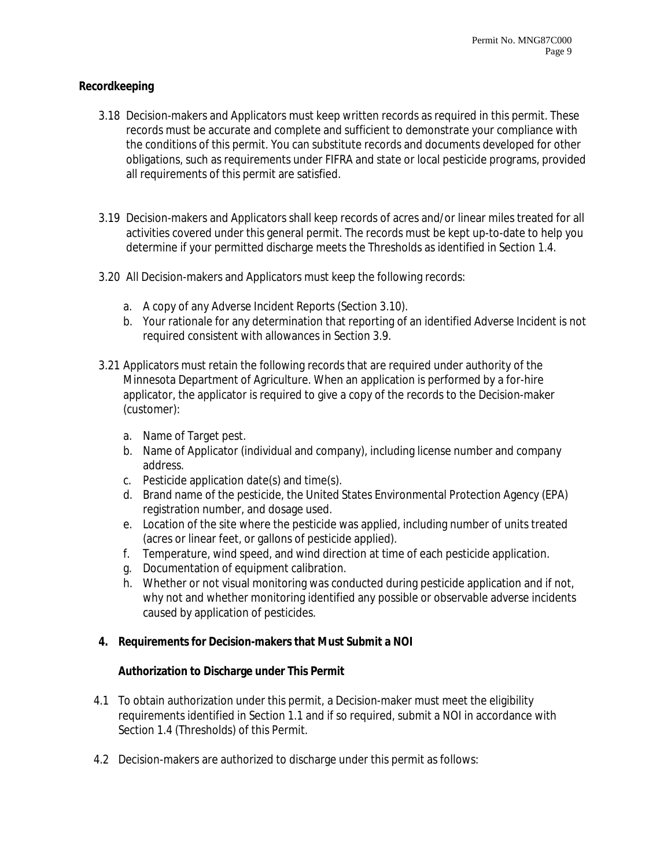## **Recordkeeping**

- 3.18 Decision-makers and Applicators must keep written records as required in this permit. These records must be accurate and complete and sufficient to demonstrate your compliance with the conditions of this permit. You can substitute records and documents developed for other obligations, such as requirements under FIFRA and state or local pesticide programs, provided all requirements of this permit are satisfied.
- 3.19 Decision-makers and Applicators shall keep records of acres and/or linear miles treated for all activities covered under this general permit. The records must be kept up-to-date to help you determine if your permitted discharge meets the Thresholds as identified in Section 1.4.
- 3.20 All Decision-makers and Applicators must keep the following records:
	- a. A copy of any Adverse Incident Reports (Section 3.10).
	- b. Your rationale for any determination that reporting of an identified Adverse Incident is not required consistent with allowances in Section 3.9.
- 3.21 Applicators must retain the following records that are required under authority of the Minnesota Department of Agriculture. When an application is performed by a for-hire applicator, the applicator is required to give a copy of the records to the Decision-maker (customer):
	- a. Name of Target pest.
	- b. Name of Applicator (individual and company), including license number and company address.
	- c. Pesticide application date(s) and time(s).
	- d. Brand name of the pesticide, the United States Environmental Protection Agency (EPA) registration number, and dosage used.
	- e. Location of the site where the pesticide was applied, including number of units treated (acres or linear feet, or gallons of pesticide applied).
	- f. Temperature, wind speed, and wind direction at time of each pesticide application.
	- g. Documentation of equipment calibration.
	- h. Whether or not visual monitoring was conducted during pesticide application and if not, why not and whether monitoring identified any possible or observable adverse incidents caused by application of pesticides.

# **4. Requirements for Decision-makers that Must Submit a NOI**

#### **Authorization to Discharge under This Permit**

- 4.1 To obtain authorization under this permit, a Decision-maker must meet the eligibility requirements identified in Section 1.1 and if so required, submit a NOI in accordance with Section 1.4 (Thresholds) of this Permit.
- 4.2 Decision-makers are authorized to discharge under this permit as follows: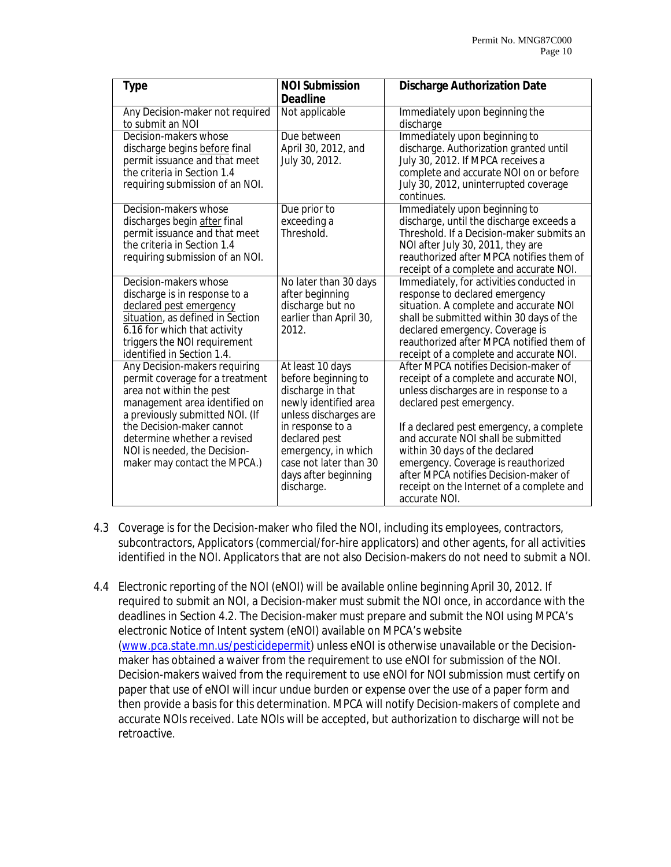| <b>Type</b>                                                                                                                                                                                                                                                                                  | <b>NOI Submission</b>                                                                                                                                                                                                                      | <b>Discharge Authorization Date</b>                                                                                                                                                                                                                                                                                                                                                                                       |
|----------------------------------------------------------------------------------------------------------------------------------------------------------------------------------------------------------------------------------------------------------------------------------------------|--------------------------------------------------------------------------------------------------------------------------------------------------------------------------------------------------------------------------------------------|---------------------------------------------------------------------------------------------------------------------------------------------------------------------------------------------------------------------------------------------------------------------------------------------------------------------------------------------------------------------------------------------------------------------------|
|                                                                                                                                                                                                                                                                                              | <b>Deadline</b>                                                                                                                                                                                                                            |                                                                                                                                                                                                                                                                                                                                                                                                                           |
| Any Decision-maker not required<br>to submit an NOI                                                                                                                                                                                                                                          | Not applicable                                                                                                                                                                                                                             | Immediately upon beginning the<br>discharge                                                                                                                                                                                                                                                                                                                                                                               |
| Decision-makers whose<br>discharge begins before final<br>permit issuance and that meet<br>the criteria in Section 1.4<br>requiring submission of an NOI.                                                                                                                                    | Due between<br>April 30, 2012, and<br>July 30, 2012.                                                                                                                                                                                       | Immediately upon beginning to<br>discharge. Authorization granted until<br>July 30, 2012. If MPCA receives a<br>complete and accurate NOI on or before<br>July 30, 2012, uninterrupted coverage<br>continues.                                                                                                                                                                                                             |
| Decision-makers whose<br>discharges begin after final<br>permit issuance and that meet<br>the criteria in Section 1.4<br>requiring submission of an NOI.                                                                                                                                     | Due prior to<br>exceeding a<br>Threshold.                                                                                                                                                                                                  | Immediately upon beginning to<br>discharge, until the discharge exceeds a<br>Threshold. If a Decision-maker submits an<br>NOI after July 30, 2011, they are<br>reauthorized after MPCA notifies them of<br>receipt of a complete and accurate NOI.                                                                                                                                                                        |
| Decision-makers whose<br>discharge is in response to a<br>declared pest emergency<br>situation, as defined in Section<br>6.16 for which that activity<br>triggers the NOI requirement<br>identified in Section 1.4.                                                                          | No later than 30 days<br>after beginning<br>discharge but no<br>earlier than April 30,<br>2012.                                                                                                                                            | Immediately, for activities conducted in<br>response to declared emergency<br>situation. A complete and accurate NOI<br>shall be submitted within 30 days of the<br>declared emergency. Coverage is<br>reauthorized after MPCA notified them of<br>receipt of a complete and accurate NOI.                                                                                                                                |
| Any Decision-makers requiring<br>permit coverage for a treatment<br>area not within the pest<br>management area identified on<br>a previously submitted NOI. (If<br>the Decision-maker cannot<br>determine whether a revised<br>NOI is needed, the Decision-<br>maker may contact the MPCA.) | At least 10 days<br>before beginning to<br>discharge in that<br>newly identified area<br>unless discharges are<br>in response to a<br>declared pest<br>emergency, in which<br>case not later than 30<br>days after beginning<br>discharge. | After MPCA notifies Decision-maker of<br>receipt of a complete and accurate NOI,<br>unless discharges are in response to a<br>declared pest emergency.<br>If a declared pest emergency, a complete<br>and accurate NOI shall be submitted<br>within 30 days of the declared<br>emergency. Coverage is reauthorized<br>after MPCA notifies Decision-maker of<br>receipt on the Internet of a complete and<br>accurate NOI. |

- 4.3 Coverage is for the Decision-maker who filed the NOI, including its employees, contractors, subcontractors, Applicators (commercial/for-hire applicators) and other agents, for all activities identified in the NOI. Applicators that are not also Decision-makers do not need to submit a NOI.
- 4.4 Electronic reporting of the NOI (eNOI) will be available online beginning April 30, 2012. If required to submit an NOI, a Decision-maker must submit the NOI once, in accordance with the deadlines in Section 4.2. The Decision-maker must prepare and submit the NOI using MPCA's electronic Notice of Intent system (eNOI) available on MPCA's website (www.pca.state.mn.us/pesticidepermit) unless eNOI is otherwise unavailable or the Decisionmaker has obtained a waiver from the requirement to use eNOI for submission of the NOI. Decision-makers waived from the requirement to use eNOI for NOI submission must certify on paper that use of eNOI will incur undue burden or expense over the use of a paper form and then provide a basis for this determination. MPCA will notify Decision-makers of complete and accurate NOIs received. Late NOIs will be accepted, but authorization to discharge will not be retroactive.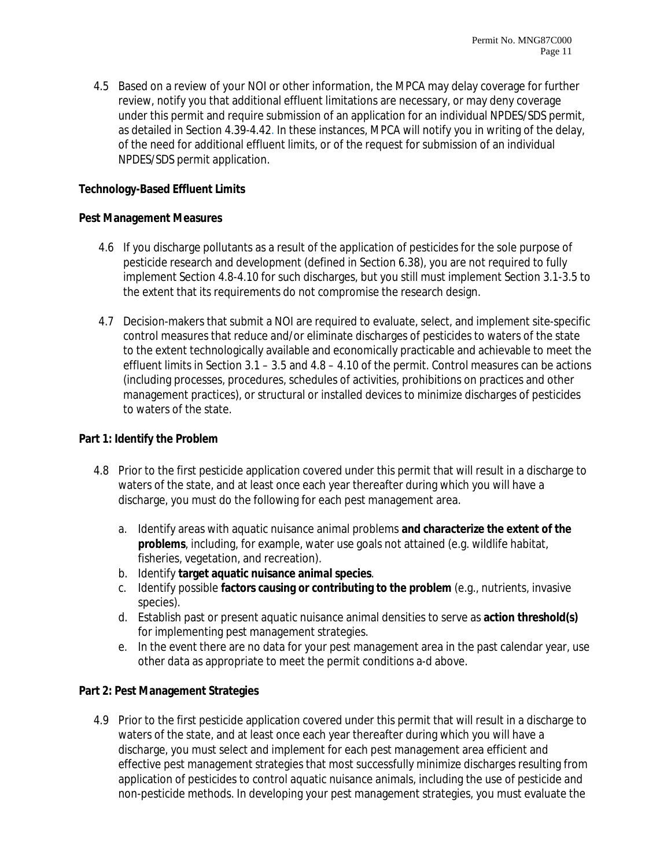4.5 Based on a review of your NOI or other information, the MPCA may delay coverage for further review, notify you that additional effluent limitations are necessary, or may deny coverage under this permit and require submission of an application for an individual NPDES/SDS permit, as detailed in Section 4.39-4.42. In these instances, MPCA will notify you in writing of the delay, of the need for additional effluent limits, or of the request for submission of an individual NPDES/SDS permit application.

## **Technology-Based Effluent Limits**

#### **Pest Management Measures**

- 4.6 If you discharge pollutants as a result of the application of pesticides for the sole purpose of pesticide research and development (defined in Section 6.38), you are not required to fully implement Section 4.8-4.10 for such discharges, but you still must implement Section 3.1-3.5 to the extent that its requirements do not compromise the research design.
- 4.7 Decision-makers that submit a NOI are required to evaluate, select, and implement site-specific control measures that reduce and/or eliminate discharges of pesticides to waters of the state to the extent technologically available and economically practicable and achievable to meet the effluent limits in Section 3.1 – 3.5 and 4.8 – 4.10 of the permit. Control measures can be actions (including processes, procedures, schedules of activities, prohibitions on practices and other management practices), or structural or installed devices to minimize discharges of pesticides to waters of the state.

#### **Part 1: Identify the Problem**

- 4.8 Prior to the first pesticide application covered under this permit that will result in a discharge to waters of the state, and at least once each year thereafter during which you will have a discharge, you must do the following for each pest management area.
	- a. Identify areas with aquatic nuisance animal problems **and characterize the extent of the problems**, including, for example, water use goals not attained (e.g. wildlife habitat, fisheries, vegetation, and recreation).
	- b. Identify **target aquatic nuisance animal species**.
	- c. Identify possible **factors causing or contributing to the problem** (e.g., nutrients, invasive species).
	- d. Establish past or present aquatic nuisance animal densities to serve as **action threshold(s)** for implementing pest management strategies.
	- e. In the event there are no data for your pest management area in the past calendar year, use other data as appropriate to meet the permit conditions a-d above.

#### **Part 2: Pest Management Strategies**

4.9 Prior to the first pesticide application covered under this permit that will result in a discharge to waters of the state, and at least once each year thereafter during which you will have a discharge, you must select and implement for each pest management area efficient and effective pest management strategies that most successfully minimize discharges resulting from application of pesticides to control aquatic nuisance animals, including the use of pesticide and non-pesticide methods. In developing your pest management strategies, you must evaluate the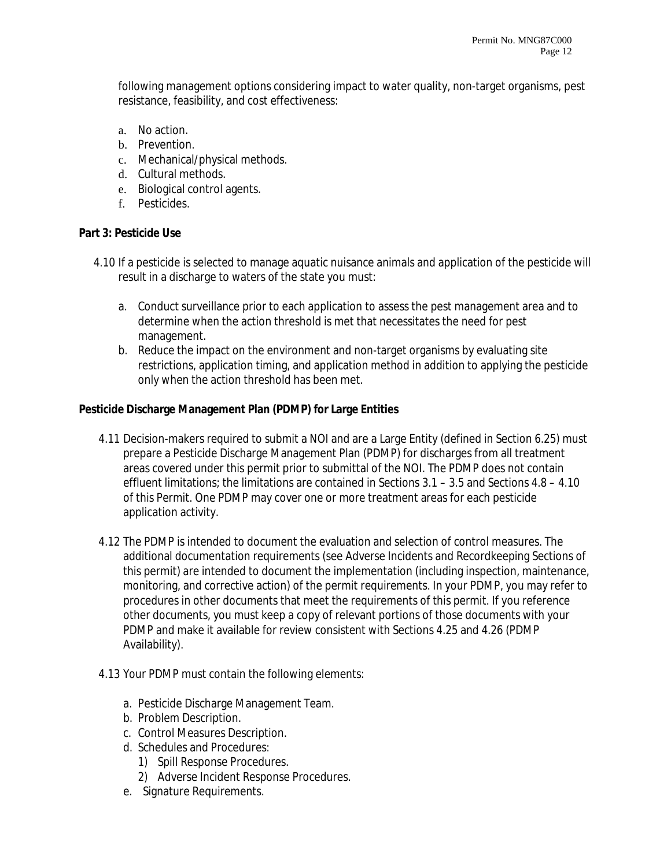following management options considering impact to water quality, non-target organisms, pest resistance, feasibility, and cost effectiveness:

- a. No action.
- b. Prevention.
- c. Mechanical/physical methods.
- d. Cultural methods.
- e. Biological control agents.
- f. Pesticides.

#### **Part 3: Pesticide Use**

- 4.10 If a pesticide is selected to manage aquatic nuisance animals and application of the pesticide will result in a discharge to waters of the state you must:
	- a. Conduct surveillance prior to each application to assess the pest management area and to determine when the action threshold is met that necessitates the need for pest management.
	- b. Reduce the impact on the environment and non-target organisms by evaluating site restrictions, application timing, and application method in addition to applying the pesticide only when the action threshold has been met.

## **Pesticide Discharge Management Plan (PDMP) for Large Entities**

- 4.11 Decision-makers required to submit a NOI and are a Large Entity (defined in Section 6.25) must prepare a Pesticide Discharge Management Plan (PDMP) for discharges from all treatment areas covered under this permit prior to submittal of the NOI. The PDMP does not contain effluent limitations; the limitations are contained in Sections 3.1 – 3.5 and Sections 4.8 – 4.10 of this Permit. One PDMP may cover one or more treatment areas for each pesticide application activity.
- 4.12 The PDMP is intended to document the evaluation and selection of control measures. The additional documentation requirements (see Adverse Incidents and Recordkeeping Sections of this permit) are intended to document the implementation (including inspection, maintenance, monitoring, and corrective action) of the permit requirements. In your PDMP, you may refer to procedures in other documents that meet the requirements of this permit. If you reference other documents, you must keep a copy of relevant portions of those documents with your PDMP and make it available for review consistent with Sections 4.25 and 4.26 (PDMP Availability).
- 4.13 Your PDMP must contain the following elements:
	- a. Pesticide Discharge Management Team.
	- b. Problem Description.
	- c. Control Measures Description.
	- d. Schedules and Procedures:
		- 1) Spill Response Procedures.
		- 2) Adverse Incident Response Procedures.
	- e. Signature Requirements.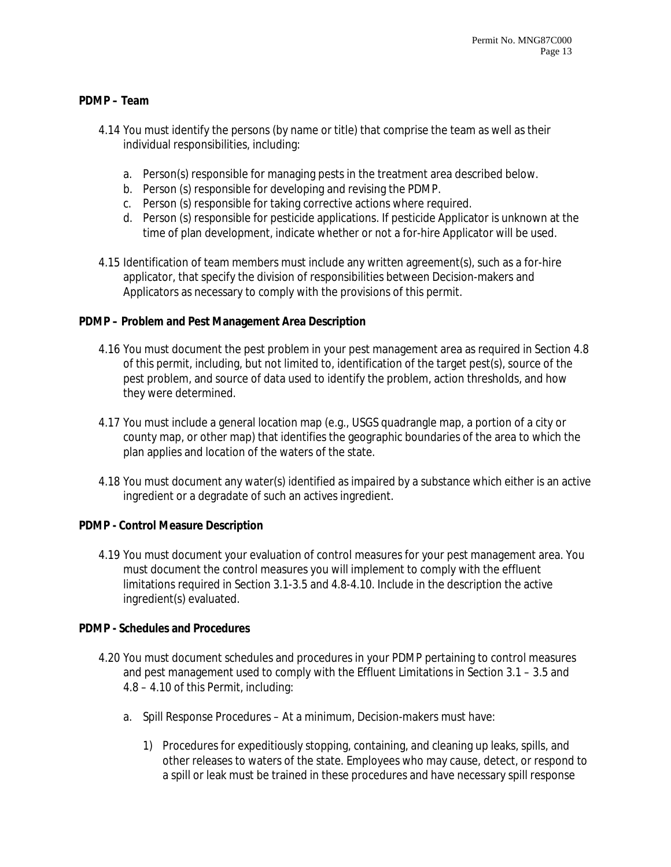## **PDMP – Team**

- 4.14 You must identify the persons (by name or title) that comprise the team as well as their individual responsibilities, including:
	- a. Person(s) responsible for managing pests in the treatment area described below.
	- b. Person (s) responsible for developing and revising the PDMP.
	- c. Person (s) responsible for taking corrective actions where required.
	- d. Person (s) responsible for pesticide applications. If pesticide Applicator is unknown at the time of plan development, indicate whether or not a for-hire Applicator will be used.
- 4.15 Identification of team members must include any written agreement(s), such as a for-hire applicator, that specify the division of responsibilities between Decision-makers and Applicators as necessary to comply with the provisions of this permit.

#### **PDMP – Problem and Pest Management Area Description**

- 4.16 You must document the pest problem in your pest management area as required in Section 4.8 of this permit, including, but not limited to, identification of the target pest(s), source of the pest problem, and source of data used to identify the problem, action thresholds, and how they were determined.
- 4.17 You must include a general location map (e.g., USGS quadrangle map, a portion of a city or county map, or other map) that identifies the geographic boundaries of the area to which the plan applies and location of the waters of the state.
- 4.18 You must document any water(s) identified as impaired by a substance which either is an active ingredient or a degradate of such an actives ingredient.

#### **PDMP - Control Measure Description**

4.19 You must document your evaluation of control measures for your pest management area. You must document the control measures you will implement to comply with the effluent limitations required in Section 3.1-3.5 and 4.8-4.10. Include in the description the active ingredient(s) evaluated.

#### **PDMP - Schedules and Procedures**

- 4.20 You must document schedules and procedures in your PDMP pertaining to control measures and pest management used to comply with the Effluent Limitations in Section 3.1 – 3.5 and 4.8 – 4.10 of this Permit, including:
	- a. Spill Response Procedures At a minimum, Decision-makers must have:
		- 1) Procedures for expeditiously stopping, containing, and cleaning up leaks, spills, and other releases to waters of the state. Employees who may cause, detect, or respond to a spill or leak must be trained in these procedures and have necessary spill response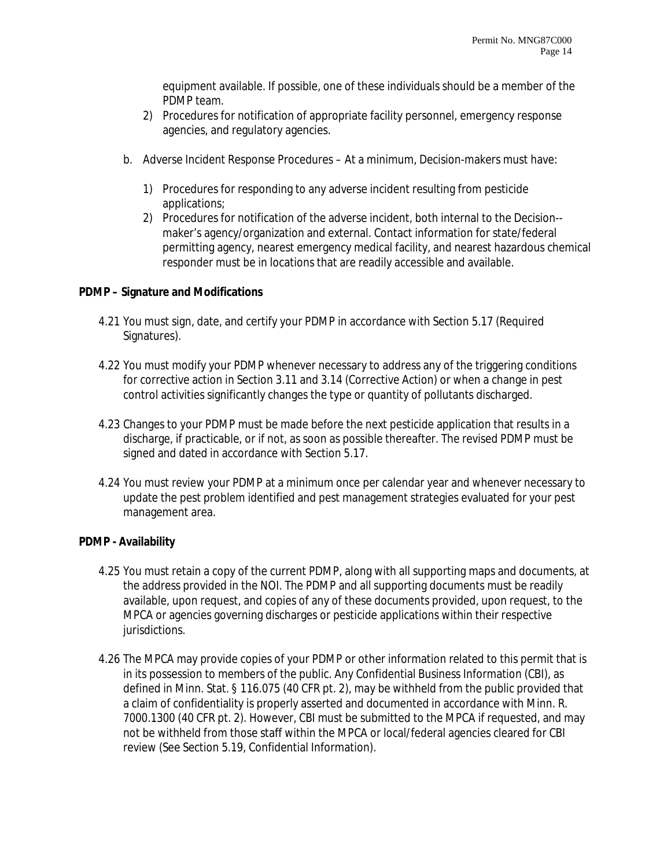equipment available. If possible, one of these individuals should be a member of the PDMP team.

- 2) Procedures for notification of appropriate facility personnel, emergency response agencies, and regulatory agencies.
- b. Adverse Incident Response Procedures At a minimum, Decision-makers must have:
	- 1) Procedures for responding to any adverse incident resulting from pesticide applications;
	- 2) Procedures for notification of the adverse incident, both internal to the Decision- maker's agency/organization and external. Contact information for state/federal permitting agency, nearest emergency medical facility, and nearest hazardous chemical responder must be in locations that are readily accessible and available.

## **PDMP – Signature and Modifications**

- 4.21 You must sign, date, and certify your PDMP in accordance with Section 5.17 (Required Signatures).
- 4.22 You must modify your PDMP whenever necessary to address any of the triggering conditions for corrective action in Section 3.11 and 3.14 (Corrective Action) or when a change in pest control activities significantly changes the type or quantity of pollutants discharged.
- 4.23 Changes to your PDMP must be made before the next pesticide application that results in a discharge, if practicable, or if not, as soon as possible thereafter. The revised PDMP must be signed and dated in accordance with Section 5.17.
- 4.24 You must review your PDMP at a minimum once per calendar year and whenever necessary to update the pest problem identified and pest management strategies evaluated for your pest management area.

#### **PDMP - Availability**

- 4.25 You must retain a copy of the current PDMP, along with all supporting maps and documents, at the address provided in the NOI. The PDMP and all supporting documents must be readily available, upon request, and copies of any of these documents provided, upon request, to the MPCA or agencies governing discharges or pesticide applications within their respective jurisdictions.
- 4.26 The MPCA may provide copies of your PDMP or other information related to this permit that is in its possession to members of the public. Any Confidential Business Information (CBI), as defined in Minn. Stat. § 116.075 (40 CFR pt. 2), may be withheld from the public provided that a claim of confidentiality is properly asserted and documented in accordance with Minn. R. 7000.1300 (40 CFR pt. 2). However, CBI must be submitted to the MPCA if requested, and may not be withheld from those staff within the MPCA or local/federal agencies cleared for CBI review (See Section 5.19, Confidential Information).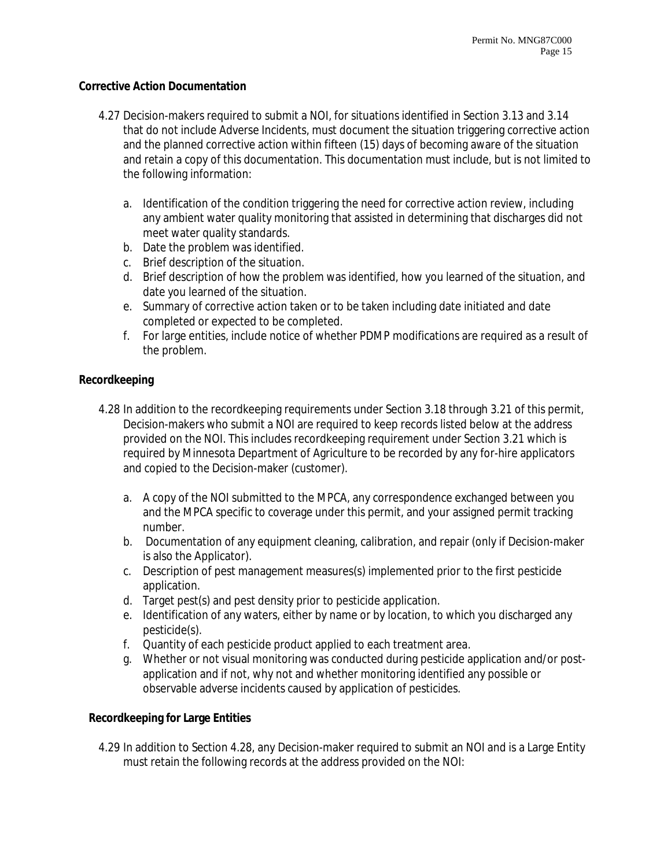#### **Corrective Action Documentation**

- 4.27 Decision-makers required to submit a NOI, for situations identified in Section 3.13 and 3.14 that do not include Adverse Incidents, must document the situation triggering corrective action and the planned corrective action within fifteen (15) days of becoming aware of the situation and retain a copy of this documentation. This documentation must include, but is not limited to the following information:
	- a. Identification of the condition triggering the need for corrective action review, including any ambient water quality monitoring that assisted in determining that discharges did not meet water quality standards.
	- b. Date the problem was identified.
	- c. Brief description of the situation.
	- d. Brief description of how the problem was identified, how you learned of the situation, and date you learned of the situation.
	- e. Summary of corrective action taken or to be taken including date initiated and date completed or expected to be completed.
	- f. For large entities, include notice of whether PDMP modifications are required as a result of the problem.

#### **Recordkeeping**

- 4.28 In addition to the recordkeeping requirements under Section 3.18 through 3.21 of this permit, Decision-makers who submit a NOI are required to keep records listed below at the address provided on the NOI. This includes recordkeeping requirement under Section 3.21 which is required by Minnesota Department of Agriculture to be recorded by any for-hire applicators and copied to the Decision-maker (customer).
	- a. A copy of the NOI submitted to the MPCA, any correspondence exchanged between you and the MPCA specific to coverage under this permit, and your assigned permit tracking number.
	- b. Documentation of any equipment cleaning, calibration, and repair (only if Decision-maker is also the Applicator).
	- c. Description of pest management measures(s) implemented prior to the first pesticide application.
	- d. Target pest(s) and pest density prior to pesticide application.
	- e. Identification of any waters, either by name or by location, to which you discharged any pesticide(s).
	- f. Quantity of each pesticide product applied to each treatment area.
	- g. Whether or not visual monitoring was conducted during pesticide application and/or postapplication and if not, why not and whether monitoring identified any possible or observable adverse incidents caused by application of pesticides.

#### **Recordkeeping for Large Entities**

4.29 In addition to Section 4.28, any Decision-maker required to submit an NOI and is a Large Entity must retain the following records at the address provided on the NOI: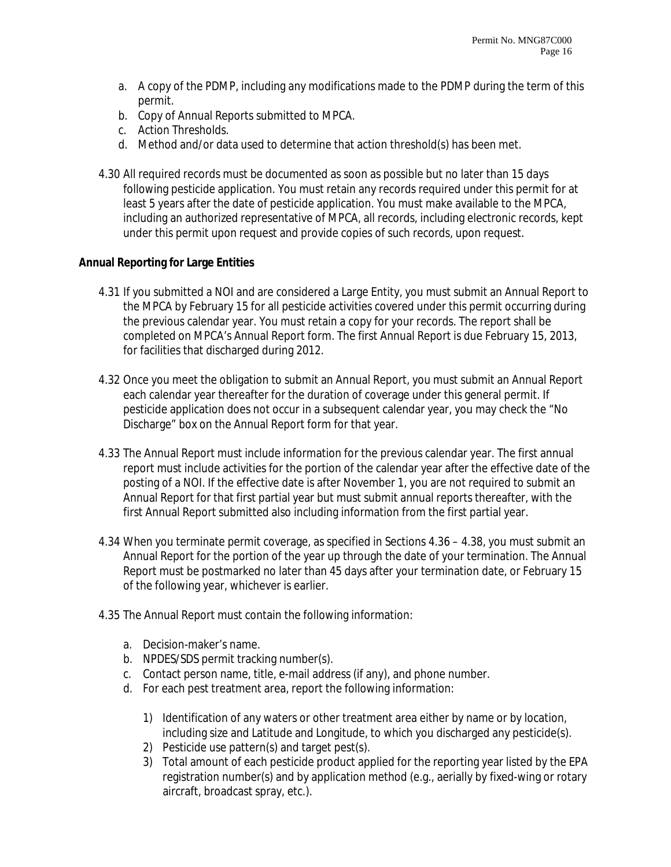- a. A copy of the PDMP, including any modifications made to the PDMP during the term of this permit.
- b. Copy of Annual Reports submitted to MPCA.
- c. Action Thresholds.
- d. Method and/or data used to determine that action threshold(s) has been met.
- 4.30 All required records must be documented as soon as possible but no later than 15 days following pesticide application. You must retain any records required under this permit for at least 5 years after the date of pesticide application. You must make available to the MPCA, including an authorized representative of MPCA, all records, including electronic records, kept under this permit upon request and provide copies of such records, upon request.

#### **Annual Reporting for Large Entities**

- 4.31 If you submitted a NOI and are considered a Large Entity, you must submit an Annual Report to the MPCA by February 15 for all pesticide activities covered under this permit occurring during the previous calendar year. You must retain a copy for your records. The report shall be completed on MPCA's Annual Report form. The first Annual Report is due February 15, 2013, for facilities that discharged during 2012.
- 4.32 Once you meet the obligation to submit an Annual Report, you must submit an Annual Report each calendar year thereafter for the duration of coverage under this general permit. If pesticide application does not occur in a subsequent calendar year, you may check the "No Discharge" box on the Annual Report form for that year.
- 4.33 The Annual Report must include information for the previous calendar year. The first annual report must include activities for the portion of the calendar year after the effective date of the posting of a NOI. If the effective date is after November 1, you are not required to submit an Annual Report for that first partial year but must submit annual reports thereafter, with the first Annual Report submitted also including information from the first partial year.
- 4.34 When you terminate permit coverage, as specified in Sections 4.36 4.38, you must submit an Annual Report for the portion of the year up through the date of your termination. The Annual Report must be postmarked no later than 45 days after your termination date, or February 15 of the following year, whichever is earlier.
- 4.35 The Annual Report must contain the following information:
	- a. Decision-maker's name.
	- b. NPDES/SDS permit tracking number(s).
	- c. Contact person name, title, e-mail address (if any), and phone number.
	- d. For each pest treatment area, report the following information:
		- 1) Identification of any waters or other treatment area either by name or by location, including size and Latitude and Longitude, to which you discharged any pesticide(s).
		- 2) Pesticide use pattern(s) and target pest(s).
		- 3) Total amount of each pesticide product applied for the reporting year listed by the EPA registration number(s) and by application method (e.g., aerially by fixed-wing or rotary aircraft, broadcast spray, etc.).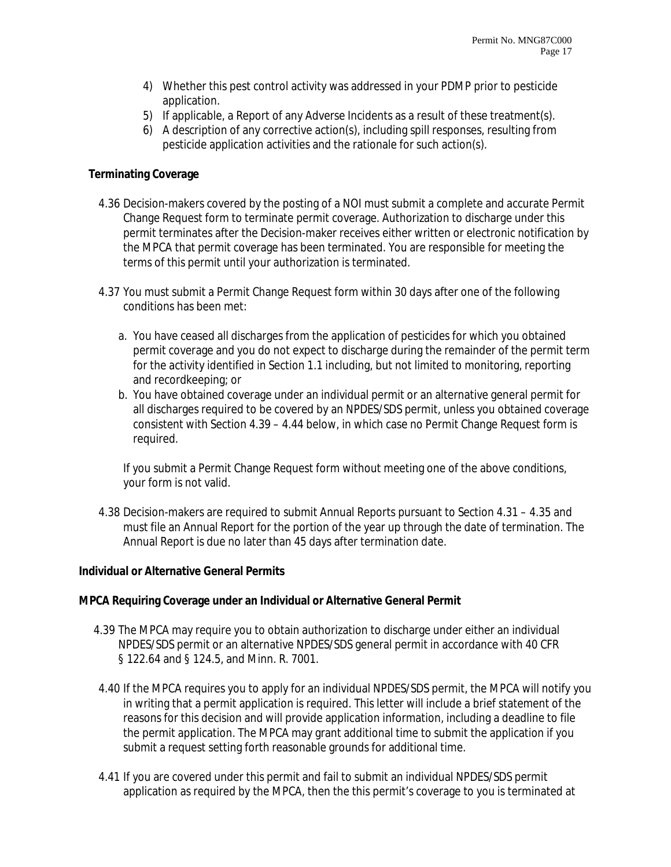- 4) Whether this pest control activity was addressed in your PDMP prior to pesticide application.
- 5) If applicable, a Report of any Adverse Incidents as a result of these treatment(s).
- 6) A description of any corrective action(s), including spill responses, resulting from pesticide application activities and the rationale for such action(s).

#### **Terminating Coverage**

- 4.36 Decision-makers covered by the posting of a NOI must submit a complete and accurate Permit Change Request form to terminate permit coverage. Authorization to discharge under this permit terminates after the Decision-maker receives either written or electronic notification by the MPCA that permit coverage has been terminated. You are responsible for meeting the terms of this permit until your authorization is terminated.
- 4.37 You must submit a Permit Change Request form within 30 days after one of the following conditions has been met:
	- a. You have ceased all discharges from the application of pesticides for which you obtained permit coverage and you do not expect to discharge during the remainder of the permit term for the activity identified in Section 1.1 including, but not limited to monitoring, reporting and recordkeeping; or
	- b. You have obtained coverage under an individual permit or an alternative general permit for all discharges required to be covered by an NPDES/SDS permit, unless you obtained coverage consistent with Section 4.39 – 4.44 below, in which case no Permit Change Request form is required.

If you submit a Permit Change Request form without meeting one of the above conditions, your form is not valid.

4.38 Decision-makers are required to submit Annual Reports pursuant to Section 4.31 – 4.35 and must file an Annual Report for the portion of the year up through the date of termination. The Annual Report is due no later than 45 days after termination date.

#### **Individual or Alternative General Permits**

#### **MPCA Requiring Coverage under an Individual or Alternative General Permit**

- 4.39 The MPCA may require you to obtain authorization to discharge under either an individual NPDES/SDS permit or an alternative NPDES/SDS general permit in accordance with 40 CFR § 122.64 and § 124.5, and Minn. R. 7001.
- 4.40 If the MPCA requires you to apply for an individual NPDES/SDS permit, the MPCA will notify you in writing that a permit application is required. This letter will include a brief statement of the reasons for this decision and will provide application information, including a deadline to file the permit application. The MPCA may grant additional time to submit the application if you submit a request setting forth reasonable grounds for additional time.
- 4.41 If you are covered under this permit and fail to submit an individual NPDES/SDS permit application as required by the MPCA, then the this permit's coverage to you is terminated at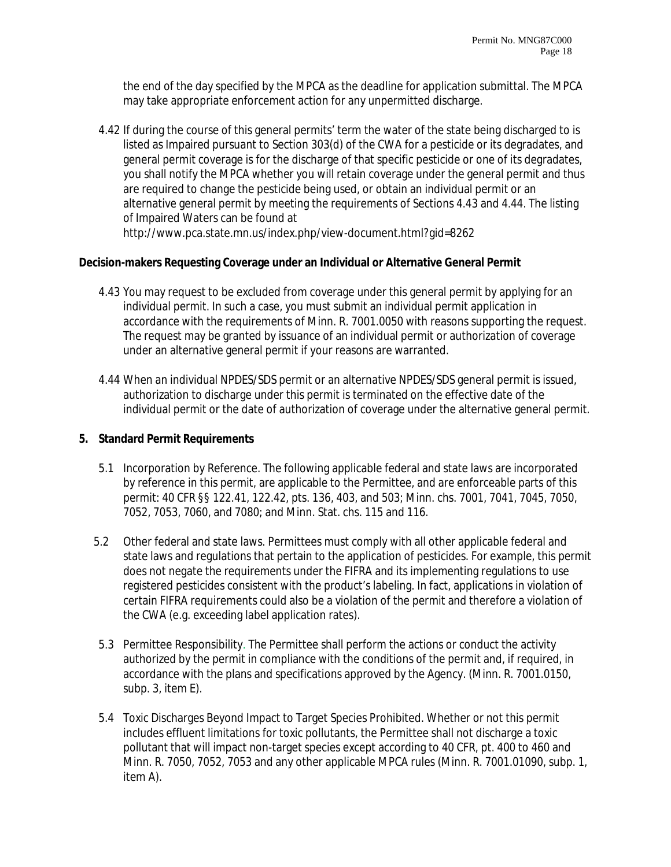the end of the day specified by the MPCA as the deadline for application submittal. The MPCA may take appropriate enforcement action for any unpermitted discharge.

4.42 If during the course of this general permits' term the water of the state being discharged to is listed as Impaired pursuant to Section 303(d) of the CWA for a pesticide or its degradates, and general permit coverage is for the discharge of that specific pesticide or one of its degradates, you shall notify the MPCA whether you will retain coverage under the general permit and thus are required to change the pesticide being used, or obtain an individual permit or an alternative general permit by meeting the requirements of Sections 4.43 and 4.44. The listing of Impaired Waters can be found at http://www.pca.state.mn.us/index.php/view-document.html?gid=8262

## **Decision-makers Requesting Coverage under an Individual or Alternative General Permit**

- 4.43 You may request to be excluded from coverage under this general permit by applying for an individual permit. In such a case, you must submit an individual permit application in accordance with the requirements of Minn. R. 7001.0050 with reasons supporting the request. The request may be granted by issuance of an individual permit or authorization of coverage under an alternative general permit if your reasons are warranted.
- 4.44 When an individual NPDES/SDS permit or an alternative NPDES/SDS general permit is issued, authorization to discharge under this permit is terminated on the effective date of the individual permit or the date of authorization of coverage under the alternative general permit.

## **5. Standard Permit Requirements**

- 5.1 Incorporation by Reference. The following applicable federal and state laws are incorporated by reference in this permit, are applicable to the Permittee, and are enforceable parts of this permit: 40 CFR §§ 122.41, 122.42, pts. 136, 403, and 503; Minn. chs. 7001, 7041, 7045, 7050, 7052, 7053, 7060, and 7080; and Minn. Stat. chs. 115 and 116.
- 5.2 Other federal and state laws. Permittees must comply with all other applicable federal and state laws and regulations that pertain to the application of pesticides. For example, this permit does not negate the requirements under the FIFRA and its implementing regulations to use registered pesticides consistent with the product's labeling. In fact, applications in violation of certain FIFRA requirements could also be a violation of the permit and therefore a violation of the CWA (e.g. exceeding label application rates).
- 5.3 Permittee Responsibility. The Permittee shall perform the actions or conduct the activity authorized by the permit in compliance with the conditions of the permit and, if required, in accordance with the plans and specifications approved by the Agency. (Minn. R. 7001.0150, subp. 3, item E).
- 5.4 Toxic Discharges Beyond Impact to Target Species Prohibited. Whether or not this permit includes effluent limitations for toxic pollutants, the Permittee shall not discharge a toxic pollutant that will impact non-target species except according to 40 CFR, pt. 400 to 460 and Minn. R. 7050, 7052, 7053 and any other applicable MPCA rules (Minn. R. 7001.01090, subp. 1, item A).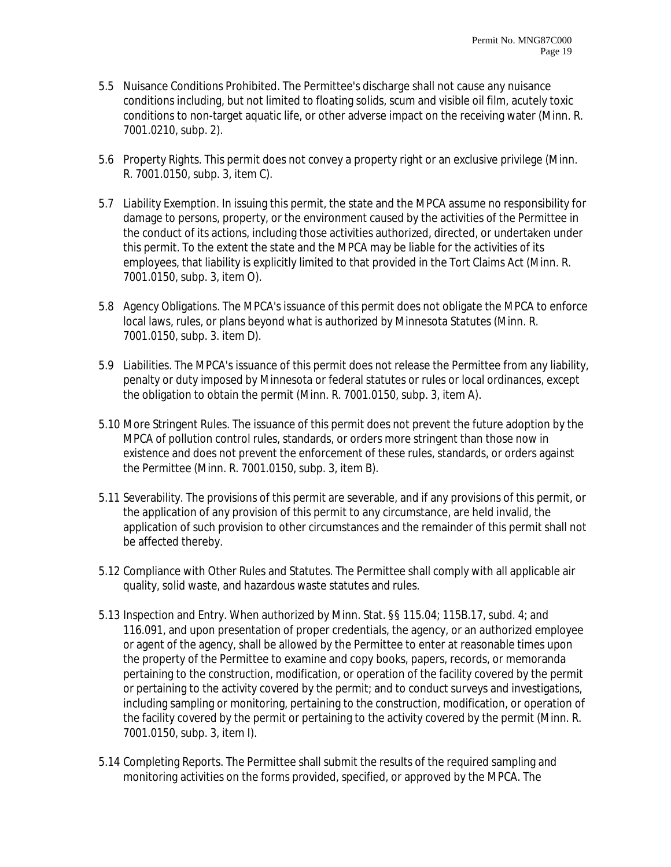- 5.5 Nuisance Conditions Prohibited. The Permittee's discharge shall not cause any nuisance conditions including, but not limited to floating solids, scum and visible oil film, acutely toxic conditions to non-target aquatic life, or other adverse impact on the receiving water (Minn. R. 7001.0210, subp. 2).
- 5.6 Property Rights. This permit does not convey a property right or an exclusive privilege (Minn. R. 7001.0150, subp. 3, item C).
- 5.7 Liability Exemption. In issuing this permit, the state and the MPCA assume no responsibility for damage to persons, property, or the environment caused by the activities of the Permittee in the conduct of its actions, including those activities authorized, directed, or undertaken under this permit. To the extent the state and the MPCA may be liable for the activities of its employees, that liability is explicitly limited to that provided in the Tort Claims Act (Minn. R. 7001.0150, subp. 3, item O).
- 5.8 Agency Obligations. The MPCA's issuance of this permit does not obligate the MPCA to enforce local laws, rules, or plans beyond what is authorized by Minnesota Statutes (Minn. R. 7001.0150, subp. 3. item D).
- 5.9 Liabilities. The MPCA's issuance of this permit does not release the Permittee from any liability, penalty or duty imposed by Minnesota or federal statutes or rules or local ordinances, except the obligation to obtain the permit (Minn. R. 7001.0150, subp. 3, item A).
- 5.10 More Stringent Rules. The issuance of this permit does not prevent the future adoption by the MPCA of pollution control rules, standards, or orders more stringent than those now in existence and does not prevent the enforcement of these rules, standards, or orders against the Permittee (Minn. R. 7001.0150, subp. 3, item B).
- 5.11 Severability. The provisions of this permit are severable, and if any provisions of this permit, or the application of any provision of this permit to any circumstance, are held invalid, the application of such provision to other circumstances and the remainder of this permit shall not be affected thereby.
- 5.12 Compliance with Other Rules and Statutes. The Permittee shall comply with all applicable air quality, solid waste, and hazardous waste statutes and rules.
- 5.13 Inspection and Entry. When authorized by Minn. Stat. §§ 115.04; 115B.17, subd. 4; and 116.091, and upon presentation of proper credentials, the agency, or an authorized employee or agent of the agency, shall be allowed by the Permittee to enter at reasonable times upon the property of the Permittee to examine and copy books, papers, records, or memoranda pertaining to the construction, modification, or operation of the facility covered by the permit or pertaining to the activity covered by the permit; and to conduct surveys and investigations, including sampling or monitoring, pertaining to the construction, modification, or operation of the facility covered by the permit or pertaining to the activity covered by the permit (Minn. R. 7001.0150, subp. 3, item I).
- 5.14 Completing Reports. The Permittee shall submit the results of the required sampling and monitoring activities on the forms provided, specified, or approved by the MPCA. The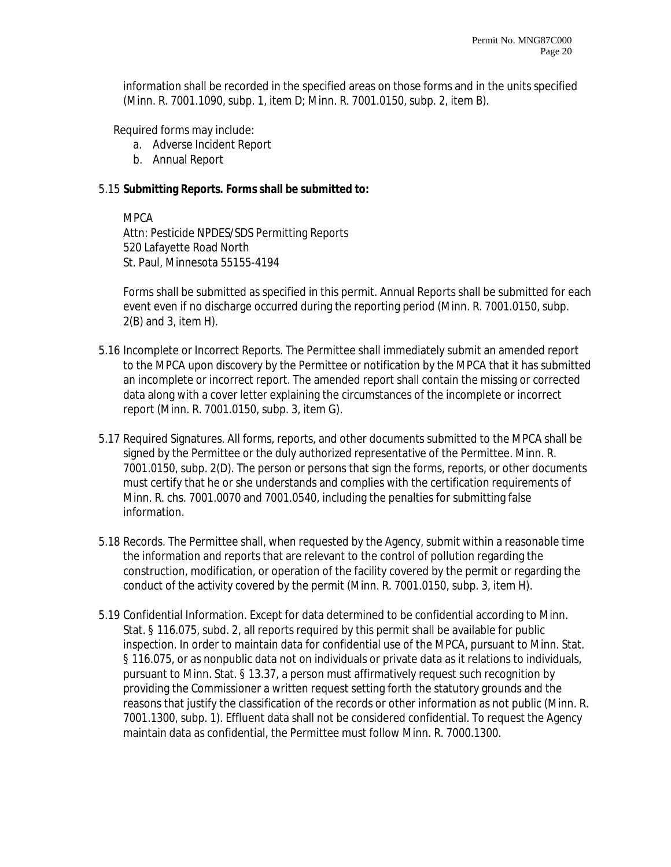information shall be recorded in the specified areas on those forms and in the units specified (Minn. R. 7001.1090, subp. 1, item D; Minn. R. 7001.0150, subp. 2, item B).

Required forms may include:

- a. Adverse Incident Report
- b. Annual Report

## 5.15 **Submitting Reports. Forms shall be submitted to:**

MPCA

Attn: Pesticide NPDES/SDS Permitting Reports 520 Lafayette Road North St. Paul, Minnesota 55155-4194

Forms shall be submitted as specified in this permit. Annual Reports shall be submitted for each event even if no discharge occurred during the reporting period (Minn. R. 7001.0150, subp. 2(B) and 3, item H).

- 5.16 Incomplete or Incorrect Reports. The Permittee shall immediately submit an amended report to the MPCA upon discovery by the Permittee or notification by the MPCA that it has submitted an incomplete or incorrect report. The amended report shall contain the missing or corrected data along with a cover letter explaining the circumstances of the incomplete or incorrect report (Minn. R. 7001.0150, subp. 3, item G).
- 5.17 Required Signatures. All forms, reports, and other documents submitted to the MPCA shall be signed by the Permittee or the duly authorized representative of the Permittee. Minn. R. 7001.0150, subp. 2(D). The person or persons that sign the forms, reports, or other documents must certify that he or she understands and complies with the certification requirements of Minn. R. chs. 7001.0070 and 7001.0540, including the penalties for submitting false information.
- 5.18 Records. The Permittee shall, when requested by the Agency, submit within a reasonable time the information and reports that are relevant to the control of pollution regarding the construction, modification, or operation of the facility covered by the permit or regarding the conduct of the activity covered by the permit (Minn. R. 7001.0150, subp. 3, item H).
- 5.19 Confidential Information. Except for data determined to be confidential according to Minn. Stat. § 116.075, subd. 2, all reports required by this permit shall be available for public inspection. In order to maintain data for confidential use of the MPCA, pursuant to Minn. Stat. § 116.075, or as nonpublic data not on individuals or private data as it relations to individuals, pursuant to Minn. Stat. § 13.37, a person must affirmatively request such recognition by providing the Commissioner a written request setting forth the statutory grounds and the reasons that justify the classification of the records or other information as not public (Minn. R. 7001.1300, subp. 1). Effluent data shall not be considered confidential. To request the Agency maintain data as confidential, the Permittee must follow Minn. R. 7000.1300.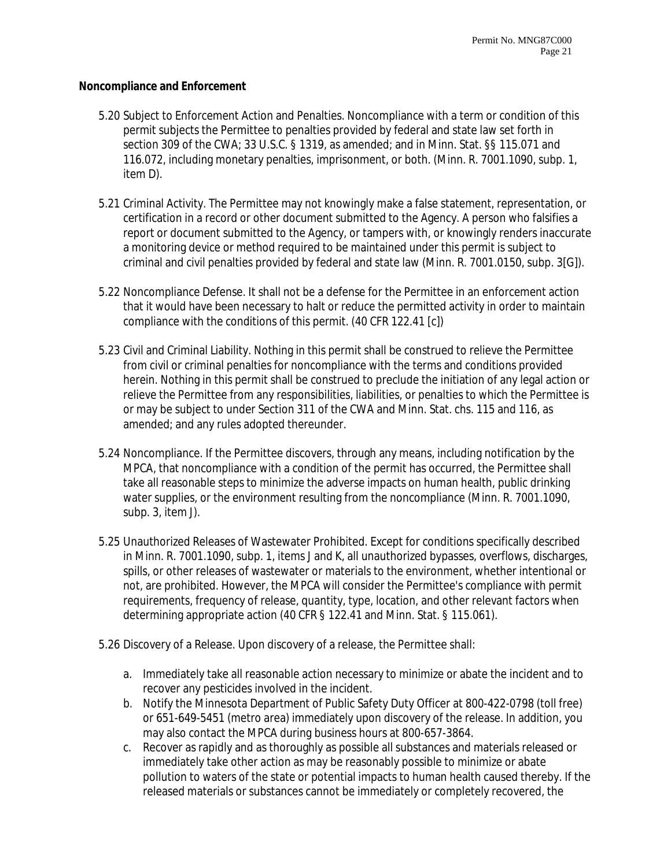#### **Noncompliance and Enforcement**

- 5.20 Subject to Enforcement Action and Penalties. Noncompliance with a term or condition of this permit subjects the Permittee to penalties provided by federal and state law set forth in section 309 of the CWA; 33 U.S.C. § 1319, as amended; and in Minn. Stat. §§ 115.071 and 116.072, including monetary penalties, imprisonment, or both. (Minn. R. 7001.1090, subp. 1, item D).
- 5.21 Criminal Activity. The Permittee may not knowingly make a false statement, representation, or certification in a record or other document submitted to the Agency. A person who falsifies a report or document submitted to the Agency, or tampers with, or knowingly renders inaccurate a monitoring device or method required to be maintained under this permit is subject to criminal and civil penalties provided by federal and state law (Minn. R. 7001.0150, subp. 3[G]).
- 5.22 Noncompliance Defense. It shall not be a defense for the Permittee in an enforcement action that it would have been necessary to halt or reduce the permitted activity in order to maintain compliance with the conditions of this permit. (40 CFR 122.41 [c])
- 5.23 Civil and Criminal Liability. Nothing in this permit shall be construed to relieve the Permittee from civil or criminal penalties for noncompliance with the terms and conditions provided herein. Nothing in this permit shall be construed to preclude the initiation of any legal action or relieve the Permittee from any responsibilities, liabilities, or penalties to which the Permittee is or may be subject to under Section 311 of the CWA and Minn. Stat. chs. 115 and 116, as amended; and any rules adopted thereunder.
- 5.24 Noncompliance. If the Permittee discovers, through any means, including notification by the MPCA, that noncompliance with a condition of the permit has occurred, the Permittee shall take all reasonable steps to minimize the adverse impacts on human health, public drinking water supplies, or the environment resulting from the noncompliance (Minn. R. 7001.1090, subp. 3, item J).
- 5.25 Unauthorized Releases of Wastewater Prohibited. Except for conditions specifically described in Minn. R. 7001.1090, subp. 1, items J and K, all unauthorized bypasses, overflows, discharges, spills, or other releases of wastewater or materials to the environment, whether intentional or not, are prohibited. However, the MPCA will consider the Permittee's compliance with permit requirements, frequency of release, quantity, type, location, and other relevant factors when determining appropriate action (40 CFR § 122.41 and Minn. Stat. § 115.061).
- 5.26 Discovery of a Release. Upon discovery of a release, the Permittee shall:
	- a. Immediately take all reasonable action necessary to minimize or abate the incident and to recover any pesticides involved in the incident.
	- b. Notify the Minnesota Department of Public Safety Duty Officer at 800-422-0798 (toll free) or 651-649-5451 (metro area) immediately upon discovery of the release. In addition, you may also contact the MPCA during business hours at 800-657-3864.
	- c. Recover as rapidly and as thoroughly as possible all substances and materials released or immediately take other action as may be reasonably possible to minimize or abate pollution to waters of the state or potential impacts to human health caused thereby. If the released materials or substances cannot be immediately or completely recovered, the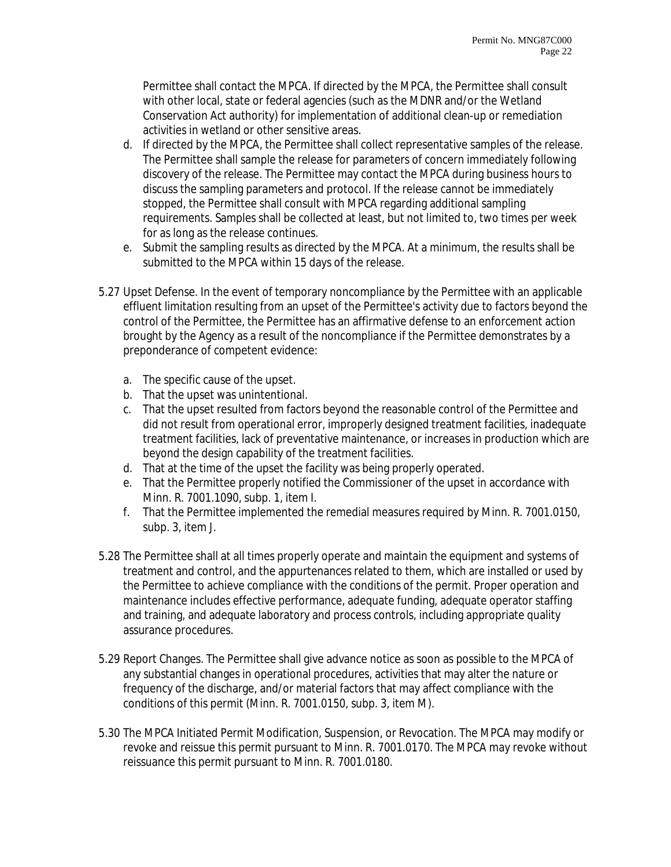Permittee shall contact the MPCA. If directed by the MPCA, the Permittee shall consult with other local, state or federal agencies (such as the MDNR and/or the Wetland Conservation Act authority) for implementation of additional clean-up or remediation activities in wetland or other sensitive areas.

- d. If directed by the MPCA, the Permittee shall collect representative samples of the release. The Permittee shall sample the release for parameters of concern immediately following discovery of the release. The Permittee may contact the MPCA during business hours to discuss the sampling parameters and protocol. If the release cannot be immediately stopped, the Permittee shall consult with MPCA regarding additional sampling requirements. Samples shall be collected at least, but not limited to, two times per week for as long as the release continues.
- e. Submit the sampling results as directed by the MPCA. At a minimum, the results shall be submitted to the MPCA within 15 days of the release.
- 5.27 Upset Defense. In the event of temporary noncompliance by the Permittee with an applicable effluent limitation resulting from an upset of the Permittee's activity due to factors beyond the control of the Permittee, the Permittee has an affirmative defense to an enforcement action brought by the Agency as a result of the noncompliance if the Permittee demonstrates by a preponderance of competent evidence:
	- a. The specific cause of the upset.
	- b. That the upset was unintentional.
	- c. That the upset resulted from factors beyond the reasonable control of the Permittee and did not result from operational error, improperly designed treatment facilities, inadequate treatment facilities, lack of preventative maintenance, or increases in production which are beyond the design capability of the treatment facilities.
	- d. That at the time of the upset the facility was being properly operated.
	- e. That the Permittee properly notified the Commissioner of the upset in accordance with Minn. R. 7001.1090, subp. 1, item I.
	- f. That the Permittee implemented the remedial measures required by Minn. R. 7001.0150, subp. 3, item J.
- 5.28 The Permittee shall at all times properly operate and maintain the equipment and systems of treatment and control, and the appurtenances related to them, which are installed or used by the Permittee to achieve compliance with the conditions of the permit. Proper operation and maintenance includes effective performance, adequate funding, adequate operator staffing and training, and adequate laboratory and process controls, including appropriate quality assurance procedures.
- 5.29 Report Changes. The Permittee shall give advance notice as soon as possible to the MPCA of any substantial changes in operational procedures, activities that may alter the nature or frequency of the discharge, and/or material factors that may affect compliance with the conditions of this permit (Minn. R. 7001.0150, subp. 3, item M).
- 5.30 The MPCA Initiated Permit Modification, Suspension, or Revocation. The MPCA may modify or revoke and reissue this permit pursuant to Minn. R. 7001.0170. The MPCA may revoke without reissuance this permit pursuant to Minn. R. 7001.0180.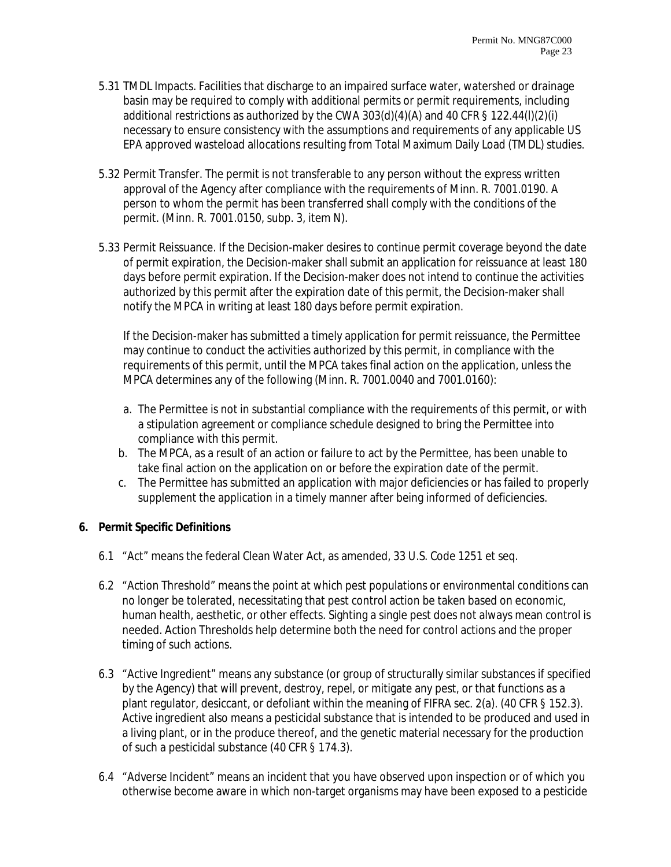- 5.31 TMDL Impacts. Facilities that discharge to an impaired surface water, watershed or drainage basin may be required to comply with additional permits or permit requirements, including additional restrictions as authorized by the CWA 303(d)(4)(A) and 40 CFR § 122.44(l)(2)(i) necessary to ensure consistency with the assumptions and requirements of any applicable US EPA approved wasteload allocations resulting from Total Maximum Daily Load (TMDL) studies.
- 5.32 Permit Transfer. The permit is not transferable to any person without the express written approval of the Agency after compliance with the requirements of Minn. R. 7001.0190. A person to whom the permit has been transferred shall comply with the conditions of the permit. (Minn. R. 7001.0150, subp. 3, item N).
- 5.33 Permit Reissuance. If the Decision-maker desires to continue permit coverage beyond the date of permit expiration, the Decision-maker shall submit an application for reissuance at least 180 days before permit expiration. If the Decision-maker does not intend to continue the activities authorized by this permit after the expiration date of this permit, the Decision-maker shall notify the MPCA in writing at least 180 days before permit expiration.

If the Decision-maker has submitted a timely application for permit reissuance, the Permittee may continue to conduct the activities authorized by this permit, in compliance with the requirements of this permit, until the MPCA takes final action on the application, unless the MPCA determines any of the following (Minn. R. 7001.0040 and 7001.0160):

- a. The Permittee is not in substantial compliance with the requirements of this permit, or with a stipulation agreement or compliance schedule designed to bring the Permittee into compliance with this permit.
- b. The MPCA, as a result of an action or failure to act by the Permittee, has been unable to take final action on the application on or before the expiration date of the permit.
- c. The Permittee has submitted an application with major deficiencies or has failed to properly supplement the application in a timely manner after being informed of deficiencies.

# **6. Permit Specific Definitions**

- 6.1 "Act" means the federal Clean Water Act, as amended, 33 U.S. Code 1251 et seq.
- 6.2 "Action Threshold" means the point at which pest populations or environmental conditions can no longer be tolerated, necessitating that pest control action be taken based on economic, human health, aesthetic, or other effects. Sighting a single pest does not always mean control is needed. Action Thresholds help determine both the need for control actions and the proper timing of such actions.
- 6.3 "Active Ingredient" means any substance (or group of structurally similar substances if specified by the Agency) that will prevent, destroy, repel, or mitigate any pest, or that functions as a plant regulator, desiccant, or defoliant within the meaning of FIFRA sec. 2(a). (40 CFR § 152.3). Active ingredient also means a pesticidal substance that is intended to be produced and used in a living plant, or in the produce thereof, and the genetic material necessary for the production of such a pesticidal substance (40 CFR § 174.3).
- 6.4 "Adverse Incident" means an incident that you have observed upon inspection or of which you otherwise become aware in which non-target organisms may have been exposed to a pesticide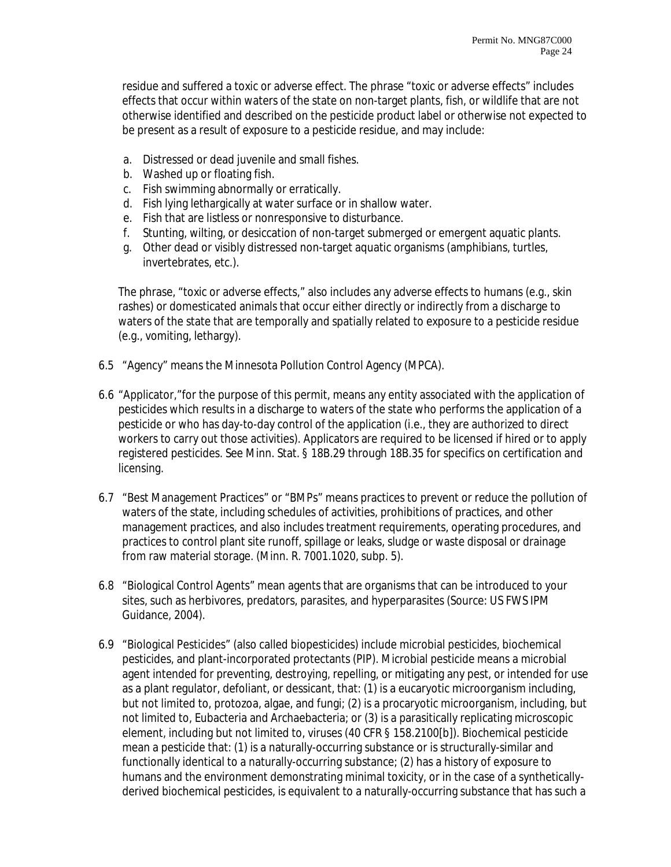residue and suffered a toxic or adverse effect. The phrase "toxic or adverse effects" includes effects that occur within waters of the state on non-target plants, fish, or wildlife that are not otherwise identified and described on the pesticide product label or otherwise not expected to be present as a result of exposure to a pesticide residue, and may include:

- a. Distressed or dead juvenile and small fishes.
- b. Washed up or floating fish.
- c. Fish swimming abnormally or erratically.
- d. Fish lying lethargically at water surface or in shallow water.
- e. Fish that are listless or nonresponsive to disturbance.
- f. Stunting, wilting, or desiccation of non-target submerged or emergent aquatic plants.
- g. Other dead or visibly distressed non-target aquatic organisms (amphibians, turtles, invertebrates, etc.).

The phrase, "toxic or adverse effects," also includes any adverse effects to humans (e.g., skin rashes) or domesticated animals that occur either directly or indirectly from a discharge to waters of the state that are temporally and spatially related to exposure to a pesticide residue (e.g., vomiting, lethargy).

- 6.5 "Agency" means the Minnesota Pollution Control Agency (MPCA).
- 6.6 "Applicator,"for the purpose of this permit, means any entity associated with the application of pesticides which results in a discharge to waters of the state who performs the application of a pesticide or who has day-to-day control of the application (i.e., they are authorized to direct workers to carry out those activities). Applicators are required to be licensed if hired or to apply registered pesticides. See Minn. Stat. § 18B.29 through 18B.35 for specifics on certification and licensing.
- 6.7 "Best Management Practices" or "BMPs" means practices to prevent or reduce the pollution of waters of the state, including schedules of activities, prohibitions of practices, and other management practices, and also includes treatment requirements, operating procedures, and practices to control plant site runoff, spillage or leaks, sludge or waste disposal or drainage from raw material storage. (Minn. R. 7001.1020, subp. 5).
- 6.8 "Biological Control Agents" mean agents that are organisms that can be introduced to your sites, such as herbivores, predators, parasites, and hyperparasites (Source: US FWS IPM Guidance, 2004).
- 6.9 "Biological Pesticides" (also called biopesticides) include microbial pesticides, biochemical pesticides, and plant-incorporated protectants (PIP). Microbial pesticide means a microbial agent intended for preventing, destroying, repelling, or mitigating any pest, or intended for use as a plant regulator, defoliant, or dessicant, that: (1) is a eucaryotic microorganism including, but not limited to, protozoa, algae, and fungi; (2) is a procaryotic microorganism, including, but not limited to, Eubacteria and Archaebacteria; or (3) is a parasitically replicating microscopic element, including but not limited to, viruses (40 CFR § 158.2100[b]). Biochemical pesticide mean a pesticide that: (1) is a naturally-occurring substance or is structurally-similar and functionally identical to a naturally-occurring substance; (2) has a history of exposure to humans and the environment demonstrating minimal toxicity, or in the case of a syntheticallyderived biochemical pesticides, is equivalent to a naturally-occurring substance that has such a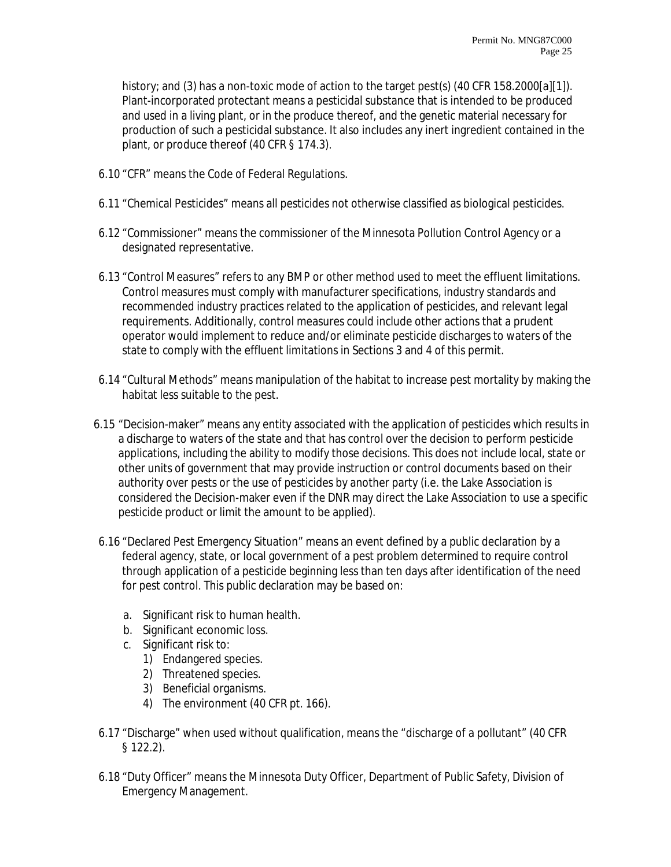history; and (3) has a non-toxic mode of action to the target pest(s) (40 CFR 158.2000[a][1]). Plant-incorporated protectant means a pesticidal substance that is intended to be produced and used in a living plant, or in the produce thereof, and the genetic material necessary for production of such a pesticidal substance. It also includes any inert ingredient contained in the plant, or produce thereof (40 CFR § 174.3).

- 6.10 "CFR" means the Code of Federal Regulations.
- 6.11 "Chemical Pesticides" means all pesticides not otherwise classified as biological pesticides.
- 6.12 "Commissioner" means the commissioner of the Minnesota Pollution Control Agency or a designated representative.
- 6.13 "Control Measures" refers to any BMP or other method used to meet the effluent limitations. Control measures must comply with manufacturer specifications, industry standards and recommended industry practices related to the application of pesticides, and relevant legal requirements. Additionally, control measures could include other actions that a prudent operator would implement to reduce and/or eliminate pesticide discharges to waters of the state to comply with the effluent limitations in Sections 3 and 4 of this permit.
- 6.14 "Cultural Methods" means manipulation of the habitat to increase pest mortality by making the habitat less suitable to the pest.
- 6.15 "Decision-maker" means any entity associated with the application of pesticides which results in a discharge to waters of the state and that has control over the decision to perform pesticide applications, including the ability to modify those decisions. This does not include local, state or other units of government that may provide instruction or control documents based on their authority over pests or the use of pesticides by another party (i.e. the Lake Association is considered the Decision-maker even if the DNR may direct the Lake Association to use a specific pesticide product or limit the amount to be applied).
- 6.16 "Declared Pest Emergency Situation" means an event defined by a public declaration by a federal agency, state, or local government of a pest problem determined to require control through application of a pesticide beginning less than ten days after identification of the need for pest control. This public declaration may be based on:
	- a. Significant risk to human health.
	- b. Significant economic loss.
	- c. Significant risk to:
		- 1) Endangered species.
		- 2) Threatened species.
		- 3) Beneficial organisms.
		- 4) The environment (40 CFR pt. 166).
- 6.17 "Discharge" when used without qualification, means the "discharge of a pollutant" (40 CFR § 122.2).
- 6.18 "Duty Officer" means the Minnesota Duty Officer, Department of Public Safety, Division of Emergency Management.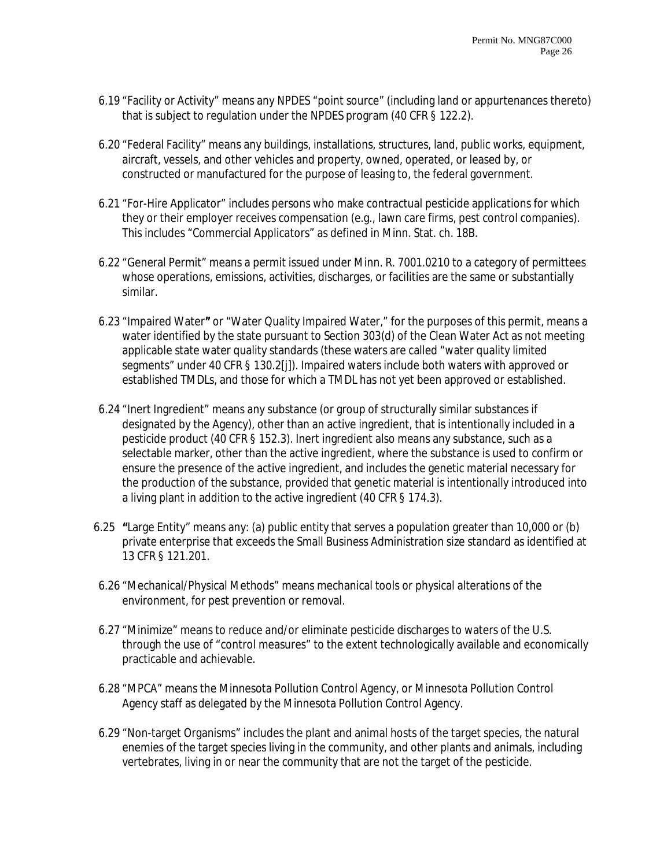- 6.19 "Facility or Activity" means any NPDES "point source" (including land or appurtenances thereto) that is subject to regulation under the NPDES program (40 CFR § 122.2).
- 6.20 "Federal Facility" means any buildings, installations, structures, land, public works, equipment, aircraft, vessels, and other vehicles and property, owned, operated, or leased by, or constructed or manufactured for the purpose of leasing to, the federal government.
- 6.21 "For-Hire Applicator" includes persons who make contractual pesticide applications for which they or their employer receives compensation (e.g., lawn care firms, pest control companies). This includes "Commercial Applicators" as defined in Minn. Stat. ch. 18B.
- 6.22 "General Permit" means a permit issued under Minn. R. 7001.0210 to a category of permittees whose operations, emissions, activities, discharges, or facilities are the same or substantially similar.
- 6.23 "Impaired Water**"** or "Water Quality Impaired Water," for the purposes of this permit, means a water identified by the state pursuant to Section 303(d) of the Clean Water Act as not meeting applicable state water quality standards (these waters are called "water quality limited segments" under 40 CFR § 130.2[j]). Impaired waters include both waters with approved or established TMDLs, and those for which a TMDL has not yet been approved or established.
- 6.24 "Inert Ingredient" means any substance (or group of structurally similar substances if designated by the Agency), other than an active ingredient, that is intentionally included in a pesticide product (40 CFR § 152.3). Inert ingredient also means any substance, such as a selectable marker, other than the active ingredient, where the substance is used to confirm or ensure the presence of the active ingredient, and includes the genetic material necessary for the production of the substance, provided that genetic material is intentionally introduced into a living plant in addition to the active ingredient (40 CFR § 174.3).
- 6.25 **"**Large Entity" means any: (a) public entity that serves a population greater than 10,000 or (b) private enterprise that exceeds the Small Business Administration size standard as identified at 13 CFR § 121.201.
- 6.26 "Mechanical/Physical Methods" means mechanical tools or physical alterations of the environment, for pest prevention or removal.
- 6.27 "Minimize" means to reduce and/or eliminate pesticide discharges to waters of the U.S. through the use of "control measures" to the extent technologically available and economically practicable and achievable.
- 6.28 "MPCA" means the Minnesota Pollution Control Agency, or Minnesota Pollution Control Agency staff as delegated by the Minnesota Pollution Control Agency.
- 6.29 "Non-target Organisms" includes the plant and animal hosts of the target species, the natural enemies of the target species living in the community, and other plants and animals, including vertebrates, living in or near the community that are not the target of the pesticide.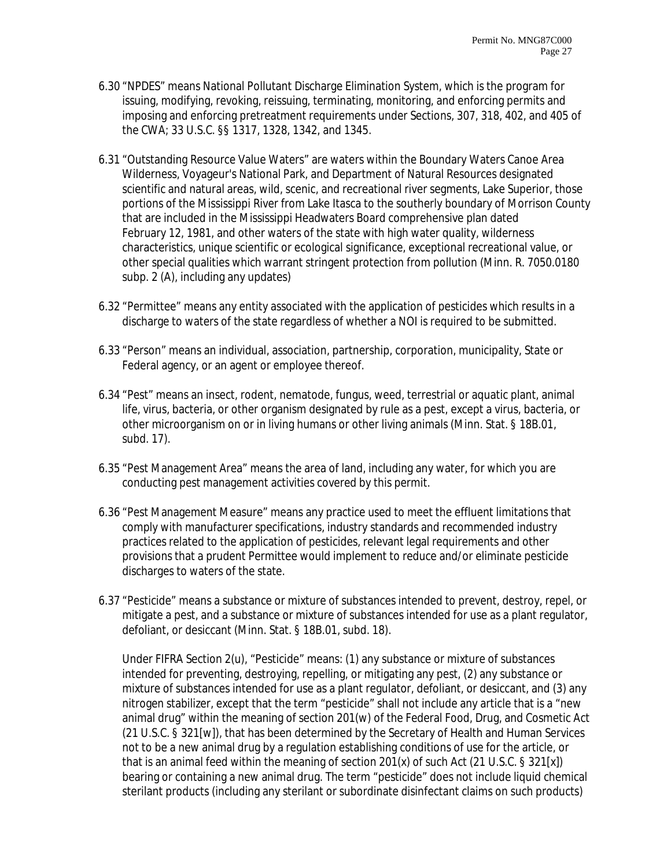- 6.30 "NPDES" means National Pollutant Discharge Elimination System, which is the program for issuing, modifying, revoking, reissuing, terminating, monitoring, and enforcing permits and imposing and enforcing pretreatment requirements under Sections, 307, 318, 402, and 405 of the CWA; 33 U.S.C. §§ 1317, 1328, 1342, and 1345.
- 6.31 "Outstanding Resource Value Waters" are waters within the Boundary Waters Canoe Area Wilderness, Voyageur's National Park, and Department of Natural Resources designated scientific and natural areas, wild, scenic, and recreational river segments, Lake Superior, those portions of the Mississippi River from Lake Itasca to the southerly boundary of Morrison County that are included in the Mississippi Headwaters Board comprehensive plan dated February 12, 1981, and other waters of the state with high water quality, wilderness characteristics, unique scientific or ecological significance, exceptional recreational value, or other special qualities which warrant stringent protection from pollution (Minn. R. 7050.0180 subp. 2 (A), including any updates)
- 6.32 "Permittee" means any entity associated with the application of pesticides which results in a discharge to waters of the state regardless of whether a NOI is required to be submitted.
- 6.33 "Person" means an individual, association, partnership, corporation, municipality, State or Federal agency, or an agent or employee thereof.
- 6.34 "Pest" means an insect, rodent, nematode, fungus, weed, terrestrial or aquatic plant, animal life, virus, bacteria, or other organism designated by rule as a pest, except a virus, bacteria, or other microorganism on or in living humans or other living animals (Minn. Stat. § 18B.01, subd. 17).
- 6.35 "Pest Management Area" means the area of land, including any water, for which you are conducting pest management activities covered by this permit.
- 6.36 "Pest Management Measure" means any practice used to meet the effluent limitations that comply with manufacturer specifications, industry standards and recommended industry practices related to the application of pesticides, relevant legal requirements and other provisions that a prudent Permittee would implement to reduce and/or eliminate pesticide discharges to waters of the state.
- 6.37 "Pesticide" means a substance or mixture of substances intended to prevent, destroy, repel, or mitigate a pest, and a substance or mixture of substances intended for use as a plant regulator, defoliant, or desiccant (Minn. Stat. § 18B.01, subd. 18).

Under FIFRA Section 2(u), "Pesticide" means: (1) any substance or mixture of substances intended for preventing, destroying, repelling, or mitigating any pest, (2) any substance or mixture of substances intended for use as a plant regulator, defoliant, or desiccant, and (3) any nitrogen stabilizer, except that the term "pesticide" shall not include any article that is a "new animal drug" within the meaning of section 201(w) of the Federal Food, Drug, and Cosmetic Act (21 U.S.C. § 321[w]), that has been determined by the Secretary of Health and Human Services not to be a new animal drug by a regulation establishing conditions of use for the article, or that is an animal feed within the meaning of section 201(x) of such Act (21 U.S.C. § 321[x]) bearing or containing a new animal drug. The term "pesticide" does not include liquid chemical sterilant products (including any sterilant or subordinate disinfectant claims on such products)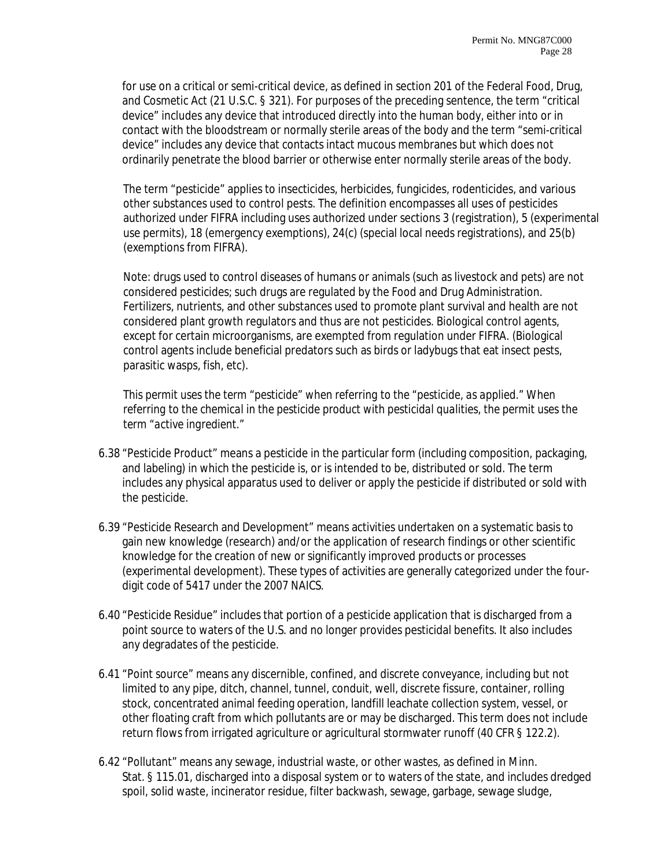for use on a critical or semi-critical device, as defined in section 201 of the Federal Food, Drug, and Cosmetic Act (21 U.S.C. § 321). For purposes of the preceding sentence, the term "critical device" includes any device that introduced directly into the human body, either into or in contact with the bloodstream or normally sterile areas of the body and the term "semi-critical device" includes any device that contacts intact mucous membranes but which does not ordinarily penetrate the blood barrier or otherwise enter normally sterile areas of the body.

The term "pesticide" applies to insecticides, herbicides, fungicides, rodenticides, and various other substances used to control pests. The definition encompasses all uses of pesticides authorized under FIFRA including uses authorized under sections 3 (registration), 5 (experimental use permits), 18 (emergency exemptions), 24(c) (special local needs registrations), and 25(b) (exemptions from FIFRA).

Note: drugs used to control diseases of humans or animals (such as livestock and pets) are not considered pesticides; such drugs are regulated by the Food and Drug Administration. Fertilizers, nutrients, and other substances used to promote plant survival and health are not considered plant growth regulators and thus are not pesticides. Biological control agents, except for certain microorganisms, are exempted from regulation under FIFRA. (Biological control agents include beneficial predators such as birds or ladybugs that eat insect pests, parasitic wasps, fish, etc).

*This permit uses the term "pesticide" when referring to the "pesticide, as applied." When referring to the chemical in the pesticide product with pesticidal qualities, the permit uses the term "active ingredient."* 

- 6.38 "Pesticide Product" means a pesticide in the particular form (including composition, packaging, and labeling) in which the pesticide is, or is intended to be, distributed or sold. The term includes any physical apparatus used to deliver or apply the pesticide if distributed or sold with the pesticide.
- 6.39 "Pesticide Research and Development" means activities undertaken on a systematic basis to gain new knowledge (research) and/or the application of research findings or other scientific knowledge for the creation of new or significantly improved products or processes (experimental development). These types of activities are generally categorized under the fourdigit code of 5417 under the 2007 NAICS.
- 6.40 "Pesticide Residue" includes that portion of a pesticide application that is discharged from a point source to waters of the U.S. and no longer provides pesticidal benefits. It also includes any degradates of the pesticide.
- 6.41 "Point source" means any discernible, confined, and discrete conveyance, including but not limited to any pipe, ditch, channel, tunnel, conduit, well, discrete fissure, container, rolling stock, concentrated animal feeding operation, landfill leachate collection system, vessel, or other floating craft from which pollutants are or may be discharged. This term does not include return flows from irrigated agriculture or agricultural stormwater runoff (40 CFR § 122.2).
- 6.42 "Pollutant" means any sewage, industrial waste, or other wastes, as defined in Minn. Stat. § 115.01, discharged into a disposal system or to waters of the state, and includes dredged spoil, solid waste, incinerator residue, filter backwash, sewage, garbage, sewage sludge,